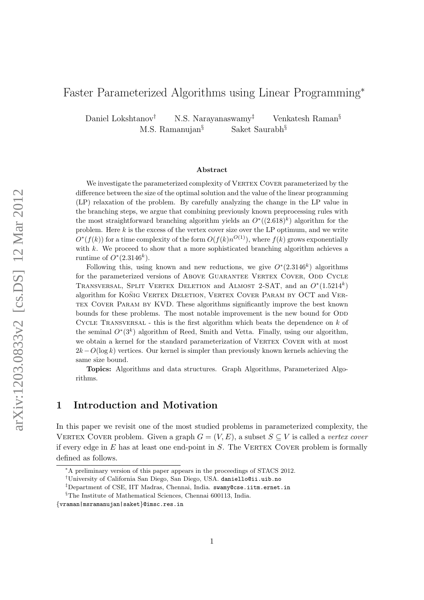# Faster Parameterized Algorithms using Linear Programming<sup>∗</sup>

Daniel Lokshtanov<sup>†</sup> N.S. Narayanaswamy<sup>‡</sup> Venkatesh Raman<sup>§</sup> M.S. Ramanujan<sup>§</sup> Saket Saurabh<sup>§</sup>

#### Abstract

We investigate the parameterized complexity of VERTEX COVER parameterized by the difference between the size of the optimal solution and the value of the linear programming (LP) relaxation of the problem. By carefully analyzing the change in the LP value in the branching steps, we argue that combining previously known preprocessing rules with the most straightforward branching algorithm yields an  $O^*((2.618)^k)$  algorithm for the problem. Here  $k$  is the excess of the vertex cover size over the LP optimum, and we write  $O^*(f(k))$  for a time complexity of the form  $O(f(k)n^{O(1)})$ , where  $f(k)$  grows exponentially with  $k$ . We proceed to show that a more sophisticated branching algorithm achieves a runtime of  $O^*(2.3146^k)$ .

Following this, using known and new reductions, we give  $O^*(2.3146^k)$  algorithms for the parameterized versions of ABOVE GUARANTEE VERTEX COVER, ODD CYCLE TRANSVERSAL, SPLIT VERTEX DELETION and ALMOST 2-SAT, and an  $O^*(1.5214^k)$ algorithm for KONIG VERTEX DELETION, VERTEX COVER PARAM BY OCT and VERtex Cover Param by KVD. These algorithms significantly improve the best known bounds for these problems. The most notable improvement is the new bound for ODD CYCLE TRANSVERSAL - this is the first algorithm which beats the dependence on  $k$  of the seminal  $O^*(3^k)$  algorithm of Reed, Smith and Vetta. Finally, using our algorithm, we obtain a kernel for the standard parameterization of VERTEX COVER with at most  $2k - O(\log k)$  vertices. Our kernel is simpler than previously known kernels achieving the same size bound.

Topics: Algorithms and data structures. Graph Algorithms, Parameterized Algorithms.

# 1 Introduction and Motivation

In this paper we revisit one of the most studied problems in parameterized complexity, the VERTEX COVER problem. Given a graph  $G = (V, E)$ , a subset  $S \subseteq V$  is called a vertex cover if every edge in  $E$  has at least one end-point in  $S$ . The VERTEX COVER problem is formally defined as follows.

<sup>∗</sup>A preliminary version of this paper appears in the proceedings of STACS 2012.

 $^\dagger$ University of California San Diego, San Diego, USA. daniello@ii.uib.no

<sup>‡</sup>Department of CSE, IIT Madras, Chennai, India. swamy@cse.iitm.ernet.in

 $\S$  The Institute of Mathematical Sciences, Chennai 600113, India.

<sup>{</sup>vraman|msramanujan|saket}@imsc.res.in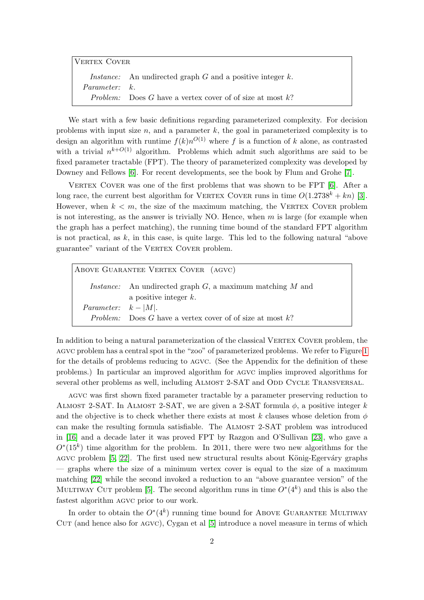| VERTEX COVER         |                                                                       |  |
|----------------------|-----------------------------------------------------------------------|--|
|                      | <i>Instance:</i> An undirected graph $G$ and a positive integer $k$ . |  |
| <i>Parameter:</i> k. |                                                                       |  |
|                      | <i>Problem:</i> Does G have a vertex cover of of size at most k?      |  |

We start with a few basic definitions regarding parameterized complexity. For decision problems with input size  $n$ , and a parameter  $k$ , the goal in parameterized complexity is to design an algorithm with runtime  $f(k)n^{O(1)}$  where f is a function of k alone, as contrasted with a trivial  $n^{k+O(1)}$  algorithm. Problems which admit such algorithms are said to be fixed parameter tractable (FPT). The theory of parameterized complexity was developed by Downey and Fellows [\[6\]](#page-33-0). For recent developments, see the book by Flum and Grohe [\[7\]](#page-33-1).

VERTEX COVER was one of the first problems that was shown to be FPT [\[6\]](#page-33-0). After a long race, the current best algorithm for VERTEX COVER runs in time  $O(1.2738^k + kn)$  [\[3\]](#page-33-2). However, when  $k < m$ , the size of the maximum matching, the VERTEX COVER problem is not interesting, as the answer is trivially NO. Hence, when  $m$  is large (for example when the graph has a perfect matching), the running time bound of the standard FPT algorithm is not practical, as  $k$ , in this case, is quite large. This led to the following natural "above guarantee" variant of the VERTEX COVER problem.

Above Guarantee Vertex Cover (agvc) *Instance:* An undirected graph  $G$ , a maximum matching  $M$  and a positive integer k. Parameter:  $k - |M|$ . Problem: Does G have a vertex cover of of size at most  $k$ ?

In addition to being a natural parameterization of the classical VERTEX COVER problem, the agvc problem has a central spot in the "zoo" of parameterized problems. We refer to Figure [1](#page-2-0) for the details of problems reducing to agvc. (See the Appendix for the definition of these problems.) In particular an improved algorithm for agvc implies improved algorithms for several other problems as well, including ALMOST 2-SAT and ODD CYCLE TRANSVERSAL.

agvc was first shown fixed parameter tractable by a parameter preserving reduction to ALMOST 2-SAT. In ALMOST 2-SAT, we are given a 2-SAT formula  $\phi$ , a positive integer k and the objective is to check whether there exists at most k clauses whose deletion from  $\phi$ can make the resulting formula satisfiable. The Almost 2-SAT problem was introduced in [\[16\]](#page-34-0) and a decade later it was proved FPT by Razgon and O'Sullivan [\[23\]](#page-34-1), who gave a  $O<sup>*</sup>(15<sup>k</sup>)$  time algorithm for the problem. In 2011, there were two new algorithms for the AGVC problem  $[5, 22]$  $[5, 22]$ . The first used new structural results about König-Egerváry graphs — graphs where the size of a minimum vertex cover is equal to the size of a maximum matching [\[22\]](#page-34-2) while the second invoked a reduction to an "above guarantee version" of the MULTIWAY CUT problem [\[5\]](#page-33-3). The second algorithm runs in time  $O^*(4^k)$  and this is also the fastest algorithm agvc prior to our work.

In order to obtain the  $O^*(4^k)$  running time bound for ABOVE GUARANTEE MULTIWAY  $CUT$  (and hence also for  $AGVC$ ), Cygan et al [\[5\]](#page-33-3) introduce a novel measure in terms of which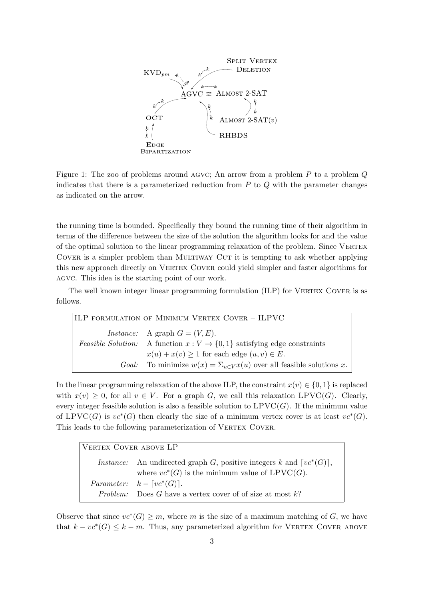<span id="page-2-0"></span>

Figure 1: The zoo of problems around AGVC; An arrow from a problem  $P$  to a problem  $Q$ indicates that there is a parameterized reduction from  $P$  to  $Q$  with the parameter changes as indicated on the arrow.

the running time is bounded. Specifically they bound the running time of their algorithm in terms of the difference between the size of the solution the algorithm looks for and the value of the optimal solution to the linear programming relaxation of the problem. Since VERTEX COVER is a simpler problem than MULTIWAY CUT it is tempting to ask whether applying this new approach directly on VERTEX COVER could yield simpler and faster algorithms for agvc. This idea is the starting point of our work.

The well known integer linear programming formulation (ILP) for VERTEX COVER is as follows.

| ILP FORMULATION OF MINIMUM VERTEX COVER - ILPVC                                      |
|--------------------------------------------------------------------------------------|
| <i>Instance:</i> A graph $G = (V, E)$ .                                              |
| <i>Feasible Solution:</i> A function $x: V \to \{0, 1\}$ satisfying edge constraints |
| $x(u) + x(v) \ge 1$ for each edge $(u, v) \in E$ .                                   |
| <i>Goal:</i> To minimize $w(x) = \sum_{u \in V} x(u)$ over all feasible solutions x. |

In the linear programming relaxation of the above ILP, the constraint  $x(v) \in \{0, 1\}$  is replaced with  $x(v) \geq 0$ , for all  $v \in V$ . For a graph G, we call this relaxation LPVC(G). Clearly, every integer feasible solution is also a feasible solution to  $LPVC(G)$ . If the minimum value of LPVC(G) is  $vc^*(G)$  then clearly the size of a minimum vertex cover is at least  $vc^*(G)$ . This leads to the following parameterization of VERTEX COVER.

| VERTEX COVER ABOVE LP |                                                                               |  |
|-----------------------|-------------------------------------------------------------------------------|--|
|                       | <i>Instance:</i> An undirected graph G, positive integers k and $[vc^*(G)]$ , |  |
|                       | where $vc^*(G)$ is the minimum value of LPVC(G).                              |  |
|                       | <i>Parameter:</i> $k - \lceil vc^*(G) \rceil$ .                               |  |
|                       | <i>Problem:</i> Does G have a vertex cover of of size at most $k$ ?           |  |

Observe that since  $vc^*(G) \geq m$ , where m is the size of a maximum matching of G, we have that  $k - vc^*(G) \leq k - m$ . Thus, any parameterized algorithm for VERTEX COVER ABOVE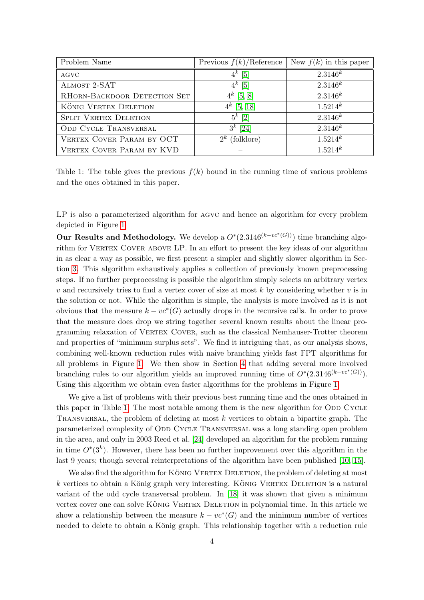| Problem Name                 | Previous $f(k)/\text{Reference}$ | New $f(k)$ in this paper |
|------------------------------|----------------------------------|--------------------------|
| <b>AGVC</b>                  | $4^k$ [5]                        | $2.3146^{k}$             |
| ALMOST 2-SAT                 | $4^k$ [5]                        | $2.3146^{k}$             |
| RHORN-BACKDOOR DETECTION SET | $4^k$ [5, 8]                     | $2.3146^{k}$             |
| KÖNIG VERTEX DELETION        | $4^k$ [5, 18]                    | $1.5214^{k}$             |
| <b>SPLIT VERTEX DELETION</b> | $5^k$ [2]                        | $2.3146^{k}$             |
| <b>ODD CYCLE TRANSVERSAL</b> | $3^k$ [24]                       | $2.3146^{k}$             |
| VERTEX COVER PARAM BY OCT    | (folklore)<br>$2^k$              | $1.5214^{k}$             |
| VERTEX COVER PARAM BY KVD    |                                  | $1.5214^{k}$             |

Table 1: The table gives the previous  $f(k)$  bound in the running time of various problems and the ones obtained in this paper.

LP is also a parameterized algorithm for AGVC and hence an algorithm for every problem depicted in Figure [1.](#page-2-0)

Our Results and Methodology. We develop a  $O^*(2.3146^{(k-vc^*(G))})$  time branching algorithm for VERTEX COVER ABOVE LP. In an effort to present the key ideas of our algorithm in as clear a way as possible, we first present a simpler and slightly slower algorithm in Section [3.](#page-5-0) This algorithm exhaustively applies a collection of previously known preprocessing steps. If no further preprocessing is possible the algorithm simply selects an arbitrary vertex  $v$  and recursively tries to find a vertex cover of size at most  $k$  by considering whether  $v$  is in the solution or not. While the algorithm is simple, the analysis is more involved as it is not obvious that the measure  $k - \nu c^*(G)$  actually drops in the recursive calls. In order to prove that the measure does drop we string together several known results about the linear programming relaxation of Vertex Cover, such as the classical Nemhauser-Trotter theorem and properties of "minimum surplus sets". We find it intriguing that, as our analysis shows, combining well-known reduction rules with naive branching yields fast FPT algorithms for all problems in Figure [1.](#page-2-0) We then show in Section [4](#page-10-0) that adding several more involved branching rules to our algorithm yields an improved running time of  $O^*(2.3146^{(k-vc^*(G))})$ . Using this algorithm we obtain even faster algorithms for the problems in Figure [1.](#page-2-0)

We give a list of problems with their previous best running time and the ones obtained in this paper in Table [1.](#page-2-0) The most notable among them is the new algorithm for ODD CYCLE Transversal, the problem of deleting at most k vertices to obtain a bipartite graph. The parameterized complexity of ODD CYCLE TRANSVERSAL was a long standing open problem in the area, and only in 2003 Reed et al. [\[24\]](#page-34-4) developed an algorithm for the problem running in time  $O^*(3^k)$ . However, there has been no further improvement over this algorithm in the last 9 years; though several reinterpretations of the algorithm have been published [\[10,](#page-33-6) [15\]](#page-33-7).

We also find the algorithm for KÖNIG VERTEX DELETION, the problem of deleting at most  $k$  vertices to obtain a König graph very interesting. KÖNIG VERTEX DELETION is a natural variant of the odd cycle transversal problem. In [\[18\]](#page-34-3) it was shown that given a minimum vertex cover one can solve KÖNIG VERTEX DELETION in polynomial time. In this article we show a relationship between the measure  $k - \nu c^*(G)$  and the minimum number of vertices needed to delete to obtain a König graph. This relationship together with a reduction rule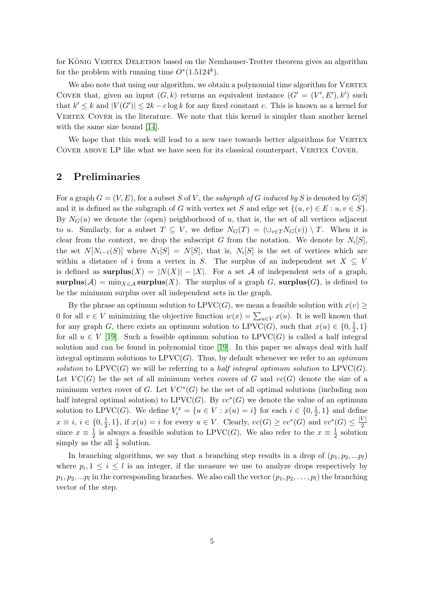for KÖNIG VERTEX DELETION based on the Nemhauser-Trotter theorem gives an algorithm for the problem with running time  $O^*(1.5124^k)$ .

We also note that using our algorithm, we obtain a polynomial time algorithm for VERTEX COVER that, given an input  $(G, k)$  returns an equivalent instance  $(G' = (V', E'), k')$  such that  $k' \leq k$  and  $|V(G')| \leq 2k - c \log k$  for any fixed constant c. This is known as a kernel for VERTEX COVER in the literature. We note that this kernel is simpler than another kernel with the same size bound [\[14\]](#page-33-8).

We hope that this work will lead to a new race towards better algorithms for VERTEX COVER ABOVE LP like what we have seen for its classical counterpart, VERTEX COVER.

### 2 Preliminaries

For a graph  $G = (V, E)$ , for a subset S of V, the subgraph of G induced by S is denoted by  $G[S]$ and it is defined as the subgraph of G with vertex set S and edge set  $\{(u, v) \in E : u, v \in S\}$ . By  $N_G(u)$  we denote the (open) neighborhood of u, that is, the set of all vertices adjacent to u. Similarly, for a subset  $T \subseteq V$ , we define  $N_G(T) = (\cup_{v \in T} N_G(v)) \setminus T$ . When it is clear from the context, we drop the subscript G from the notation. We denote by  $N_i[S]$ , the set  $N[N_{i-1}(S)]$  where  $N_1[S] = N[S]$ , that is,  $N_i[S]$  is the set of vertices which are within a distance of i from a vertex in S. The surplus of an independent set  $X \subseteq V$ is defined as  $\textbf{surplus}(X) = |N(X)| - |X|$ . For a set A of independent sets of a graph, surplus(A) =  $\min_{X \in \mathcal{A}}$  surplus(X). The surplus of a graph G, surplus(G), is defined to be the minimum surplus over all independent sets in the graph.

By the phrase an optimum solution to  $LPVC(G)$ , we mean a feasible solution with  $x(v)$ 0 for all  $v \in V$  minimizing the objective function  $w(x) = \sum_{u \in V} x(u)$ . It is well known that for any graph G, there exists an optimum solution to LPVC(G), such that  $x(u) \in \{0, \frac{1}{2}\}$  $\frac{1}{2}, 1\}$ for all  $u \in V$  [\[19\]](#page-34-5). Such a feasible optimum solution to LPVC(G) is called a half integral solution and can be found in polynomial time [\[19\]](#page-34-5). In this paper we always deal with half integral optimum solutions to  $LPVC(G)$ . Thus, by default whenever we refer to an *optimum* solution to  $LPVC(G)$  we will be referring to a half integral optimum solution to  $LPVC(G)$ . Let  $VC(G)$  be the set of all minimum vertex covers of G and  $vc(G)$  denote the size of a minimum vertex cover of G. Let  $VC^*(G)$  be the set of all optimal solutions (including non half integral optimal solution) to  $LPVC(G)$ . By  $vc^*(G)$  we denote the value of an optimum solution to LPVC(*G*). We define  $V_i^x = \{u \in V : x(u) = i\}$  for each  $i \in \{0, \frac{1}{2}\}$  $\frac{1}{2}$ , 1} and define  $x \equiv i, i \in \{0, \frac{1}{2}\}$  $\frac{1}{2}$ , 1}, if  $x(u) = i$  for every  $u \in V$ . Clearly,  $vc(G) \ge vc^*(G)$  and  $vc^*(G) \le \frac{|V|}{2}$ 2 since  $x \equiv \frac{1}{2}$  $\frac{1}{2}$  is always a feasible solution to LPVC(*G*). We also refer to the  $x \equiv \frac{1}{2}$  $\frac{1}{2}$  solution simply as the all  $\frac{1}{2}$  solution.

In branching algorithms, we say that a branching step results in a drop of  $(p_1, p_2, ... p_l)$ where  $p_i, 1 \leq i \leq l$  is an integer, if the measure we use to analyze drops respectively by  $p_1, p_2, \ldots p_l$  in the corresponding branches. We also call the vector  $(p_1, p_2, \ldots, p_l)$  the branching vector of the step.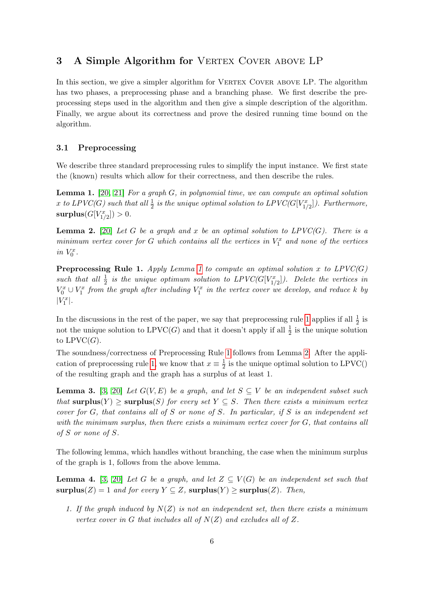# <span id="page-5-0"></span>3 A Simple Algorithm for VERTEX COVER ABOVE LP

In this section, we give a simpler algorithm for VERTEX COVER ABOVE LP. The algorithm has two phases, a preprocessing phase and a branching phase. We first describe the preprocessing steps used in the algorithm and then give a simple description of the algorithm. Finally, we argue about its correctness and prove the desired running time bound on the algorithm.

### 3.1 Preprocessing

We describe three standard preprocessing rules to simplify the input instance. We first state the (known) results which allow for their correctness, and then describe the rules.

<span id="page-5-1"></span>**Lemma 1.** [\[20,](#page-34-6) [21\]](#page-34-7) For a graph  $G$ , in polynomial time, we can compute an optimal solution x to LPVC(G) such that all  $\frac{1}{2}$  is the unique optimal solution to LPVC(G[V $_{1/2}^x$ ]). Furthermore,  $\textbf{surplus}(G[V^x_{1/2}])>0.$ 

<span id="page-5-3"></span>**Lemma 2.** [\[20\]](#page-34-6) Let G be a graph and x be an optimal solution to  $LPVC(G)$ . There is a minimum vertex cover for G which contains all the vertices in  $V_1^x$  and none of the vertices in  $V_0^x$ .

<span id="page-5-2"></span>**Preprocessing Rule [1](#page-5-1).** Apply Lemma 1 to compute an optimal solution x to  $LPVC(G)$ such that all  $\frac{1}{2}$  is the unique optimum solution to  $LPVC(G[V^x_{1/2}])$ . Delete the vertices in  $V_0^x \cup V_1^x$  from the graph after including  $V_1^x$  in the vertex cover we develop, and reduce k by  $|V_1^x|.$ 

In the discussions in the rest of the paper, we say that preprocessing rule [1](#page-5-2) applies if all  $\frac{1}{2}$  is not the unique solution to  $LPVC(G)$  and that it doesn't apply if all  $\frac{1}{2}$  is the unique solution to  $LPVC(G)$ .

The soundness/correctness of Preprocessing Rule [1](#page-5-2) follows from Lemma [2.](#page-5-3) After the appli-cation of preprocessing rule [1,](#page-5-2) we know that  $x \equiv \frac{1}{2}$  $\frac{1}{2}$  is the unique optimal solution to LPVC() of the resulting graph and the graph has a surplus of at least 1.

<span id="page-5-5"></span>**Lemma 3.** [\[3,](#page-33-2) [20\]](#page-34-6) Let  $G(V, E)$  be a graph, and let  $S \subseteq V$  be an independent subset such that surplus(Y)  $\geq$  surplus(S) for every set  $Y \subseteq S$ . Then there exists a minimum vertex cover for  $G$ , that contains all of  $S$  or none of  $S$ . In particular, if  $S$  is an independent set with the minimum surplus, then there exists a minimum vertex cover for G, that contains all of S or none of S.

The following lemma, which handles without branching, the case when the minimum surplus of the graph is 1, follows from the above lemma.

<span id="page-5-4"></span>**Lemma 4.** [\[3,](#page-33-2) [20\]](#page-34-6) Let G be a graph, and let  $Z \subseteq V(G)$  be an independent set such that  $\text{surplus}(Z) = 1$  and for every  $Y \subseteq Z$ ,  $\text{surplus}(Y) \geq \text{surplus}(Z)$ . Then,

1. If the graph induced by  $N(Z)$  is not an independent set, then there exists a minimum vertex cover in G that includes all of  $N(Z)$  and excludes all of Z.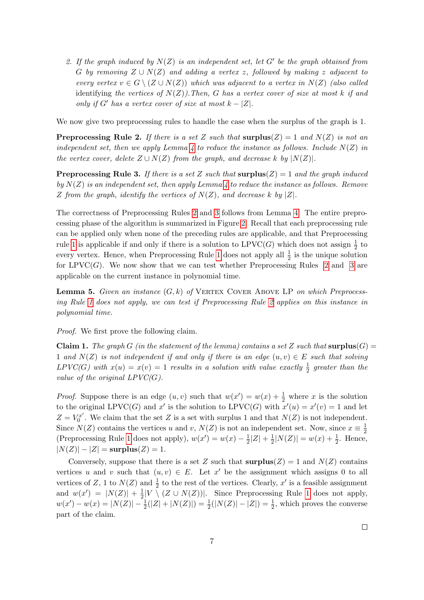2. If the graph induced by  $N(Z)$  is an independent set, let G' be the graph obtained from G by removing  $Z \cup N(Z)$  and adding a vertex z, followed by making z adjacent to every vertex  $v \in G \setminus (Z \cup N(Z))$  which was adjacent to a vertex in  $N(Z)$  (also called identifying the vertices of  $N(Z)$ ). Then, G has a vertex cover of size at most k if and only if G' has a vertex cover of size at most  $k - |Z|$ .

We now give two preprocessing rules to handle the case when the surplus of the graph is 1.

<span id="page-6-0"></span>**Preprocessing Rule 2.** If there is a set Z such that  $\text{surplus}(Z) = 1$  and  $N(Z)$  is not an independent set, then we apply Lemma [4](#page-5-4) to reduce the instance as follows. Include  $N(Z)$  in the vertex cover, delete  $Z \cup N(Z)$  from the graph, and decrease k by  $|N(Z)|$ .

<span id="page-6-1"></span>**Preprocessing Rule 3.** If there is a set Z such that  $\text{surplus}(Z) = 1$  and the graph induced by  $N(Z)$  is an independent set, then apply Lemma [4](#page-5-4) to reduce the instance as follows. Remove Z from the graph, identify the vertices of  $N(Z)$ , and decrease k by  $|Z|$ .

The correctness of Preprocessing Rules [2](#page-6-0) and [3](#page-6-1) follows from Lemma [4.](#page-5-4) The entire preprocessing phase of the algorithm is summarized in Figure [2.](#page-8-0) Recall that each preprocessing rule can be applied only when none of the preceding rules are applicable, and that Preprocessing rule [1](#page-5-2) is applicable if and only if there is a solution to  $LPVC(G)$  which does not assign  $\frac{1}{2}$  to every vertex. Hence, when Preprocessing Rule [1](#page-5-2) does not apply all  $\frac{1}{2}$  is the unique solution for  $LPVC(G)$ . We now show that we can test whether Preprocessing Rules [2](#page-6-0) and [3](#page-6-1) are applicable on the current instance in polynomial time.

<span id="page-6-2"></span>**Lemma 5.** Given an instance  $(G, k)$  of VERTEX COVER ABOVE LP on which Preprocessing Rule [1](#page-5-2) does not apply, we can test if Preprocessing Rule [2](#page-6-0) applies on this instance in polynomial time.

Proof. We first prove the following claim.

**Claim 1.** The graph G (in the statement of the lemma) contains a set Z such that surplus(G) = 1 and  $N(Z)$  is not independent if and only if there is an edge  $(u, v) \in E$  such that solving  $LPVC(G)$  with  $x(u) = x(v) = 1$  results in a solution with value exactly  $\frac{1}{2}$  greater than the value of the original  $LPVC(G)$ .

*Proof.* Suppose there is an edge  $(u, v)$  such that  $w(x') = w(x) + \frac{1}{2}$  where x is the solution to the original LPVC(G) and x' is the solution to LPVC(G) with  $x'(u) = x'(v) = 1$  and let  $Z=V_0^{x'}$  $C_0^x$ . We claim that the set Z is a set with surplus 1 and that  $N(Z)$  is not independent. Since  $N(Z)$  contains the vertices u and v,  $N(Z)$  is not an independent set. Now, since  $x \equiv \frac{1}{2}$  $\overline{2}$ (Preprocessing Rule [1](#page-5-2) does not apply),  $w(x') = w(x) - \frac{1}{2}$  $\frac{1}{2}|Z| + \frac{1}{2}$  $\frac{1}{2}|N(Z)| = w(x) + \frac{1}{2}$ . Hence,  $|N(Z)| - |Z| = \text{surplus}(Z) = 1.$ 

Conversely, suppose that there is a set Z such that  $\text{surplus}(Z) = 1$  and  $N(Z)$  contains vertices u and v such that  $(u, v) \in E$ . Let x' be the assignment which assigns 0 to all vertices of Z, 1 to  $N(Z)$  and  $\frac{1}{2}$  to the rest of the vertices. Clearly, x' is a feasible assignment and  $w(x') = |N(Z)| + \frac{1}{2}$  $\frac{1}{2}|V \setminus (Z \cup N(Z))|$ . Since Preprocessing Rule [1](#page-5-2) does not apply,  $w(x') - w(x) = |N(Z)| - \frac{1}{2}(|Z| + |N(Z)|) = \frac{1}{2}(|N(Z)| - |Z|) = \frac{1}{2}$ , which proves the converse part of the claim.

 $\Box$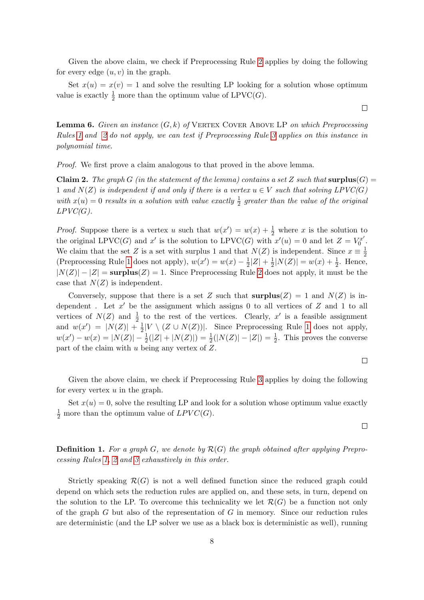Given the above claim, we check if Preprocessing Rule [2](#page-6-0) applies by doing the following for every edge  $(u, v)$  in the graph.

Set  $x(u) = x(v) = 1$  and solve the resulting LP looking for a solution whose optimum value is exactly  $\frac{1}{2}$  more than the optimum value of LPVC(*G*).

<span id="page-7-0"></span>**Lemma 6.** Given an instance  $(G, k)$  of VERTEX COVER ABOVE LP on which Preprocessing Rules [1](#page-5-2) and [2](#page-6-0) do not apply, we can test if Preprocessing Rule [3](#page-6-1) applies on this instance in polynomial time.

*Proof.* We first prove a claim analogous to that proved in the above lemma.

**Claim 2.** The graph G (in the statement of the lemma) contains a set Z such that surplus(G) = 1 and  $N(Z)$  is independent if and only if there is a vertex  $u \in V$  such that solving  $LPVC(G)$ with  $x(u) = 0$  results in a solution with value exactly  $\frac{1}{2}$  greater than the value of the original  $LPVC(G)$ .

*Proof.* Suppose there is a vertex u such that  $w(x') = w(x) + \frac{1}{2}$  where x is the solution to the original LPVC(G) and x' is the solution to LPVC(G) with  $x'(u) = 0$  and let  $Z = V_0^{x'}$  $\stackrel{r}{0}^r$  . We claim that the set Z is a set with surplus 1 and that  $N(Z)$  is independent. Since  $x \equiv \frac{1}{2}$ 2 (Preprocessing Rule [1](#page-5-2) does not apply),  $w(x') = w(x) - \frac{1}{2}$  $\frac{1}{2}|Z| + \frac{1}{2}$  $\frac{1}{2}|N(Z)| = w(x) + \frac{1}{2}$ . Hence,  $|N(Z)| - |Z|$  = surplus(Z) = 1. Since Preprocessing Rule [2](#page-6-0) does not apply, it must be the case that  $N(Z)$  is independent.

Conversely, suppose that there is a set Z such that  $\text{surplus}(Z) = 1$  and  $N(Z)$  is independent. Let  $x'$  be the assignment which assigns 0 to all vertices of  $Z$  and 1 to all vertices of  $N(Z)$  and  $\frac{1}{2}$  to the rest of the vertices. Clearly, x' is a feasible assignment and  $w(x') = |N(Z)| + \frac{1}{2}$  $\frac{1}{2}|V \setminus (Z \cup N(Z))|$ . Since Preprocessing Rule [1](#page-5-2) does not apply,  $w(x') - w(x) = |N(Z)| - \frac{1}{2}(|Z| + |N(Z)|) = \frac{1}{2}(|N(Z)| - |Z|) = \frac{1}{2}$ . This proves the converse part of the claim with u being any vertex of Z.

Given the above claim, we check if Preprocessing Rule [3](#page-6-1) applies by doing the following for every vertex  $u$  in the graph.

Set  $x(u) = 0$ , solve the resulting LP and look for a solution whose optimum value exactly  $\frac{1}{2}$  more than the optimum value of  $LPVC(G)$ .

**Definition 1.** For a graph G, we denote by  $\mathcal{R}(G)$  the graph obtained after applying Preprocessing Rules [1,](#page-5-2) [2](#page-6-0) and [3](#page-6-1) exhaustively in this order.

Strictly speaking  $\mathcal{R}(G)$  is not a well defined function since the reduced graph could depend on which sets the reduction rules are applied on, and these sets, in turn, depend on the solution to the LP. To overcome this technicality we let  $\mathcal{R}(G)$  be a function not only of the graph  $G$  but also of the representation of  $G$  in memory. Since our reduction rules are deterministic (and the LP solver we use as a black box is deterministic as well), running

 $\Box$ 

 $\Box$ 

 $\Box$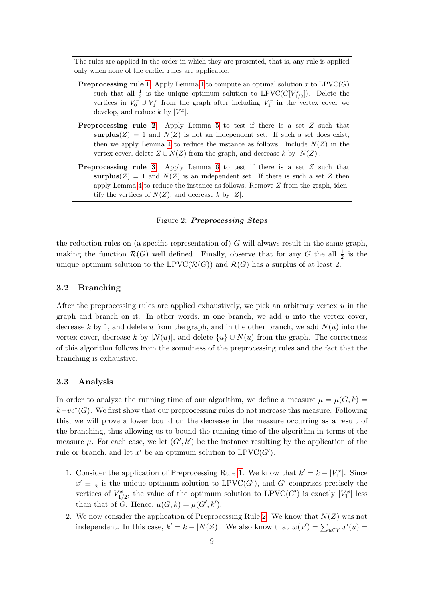The rules are applied in the order in which they are presented, that is, any rule is applied only when none of the earlier rules are applicable.

- **Preprocessing rule** [1:](#page-5-2) Apply Lemma [1](#page-5-1) to compute an optimal solution x to  $LPVC(G)$ such that all  $\frac{1}{2}$  is the unique optimum solution to LPVC( $G[V^x_{1/2}]$ ). Delete the vertices in  $V_0^x \cup V_1^x$  from the graph after including  $V_1^x$  in the vertex cover we develop, and reduce  $k$  by  $|V_1^x|$ .
- Preprocessing rule [2](#page-6-0): Apply Lemma [5](#page-6-2) to test if there is a set Z such that surplus( $Z$ ) = 1 and  $N(Z)$  is not an independent set. If such a set does exist, then we apply Lemma [4](#page-5-4) to reduce the instance as follows. Include  $N(Z)$  in the vertex cover, delete  $Z \cup N(Z)$  from the graph, and decrease k by  $|N(Z)|$ .
- Preprocessing rule [3](#page-6-1): Apply Lemma [6](#page-7-0) to test if there is a set Z such that surplus( $Z$ ) = 1 and  $N(Z)$  is an independent set. If there is such a set Z then apply Lemma [4](#page-5-4) to reduce the instance as follows. Remove Z from the graph, identify the vertices of  $N(Z)$ , and decrease k by  $|Z|$ .

#### Figure 2: Preprocessing Steps

<span id="page-8-0"></span>the reduction rules on (a specific representation of)  $G$  will always result in the same graph, making the function  $\mathcal{R}(G)$  well defined. Finally, observe that for any G the all  $\frac{1}{2}$  is the unique optimum solution to the LPVC( $\mathcal{R}(G)$ ) and  $\mathcal{R}(G)$  has a surplus of at least 2.

#### 3.2 Branching

After the preprocessing rules are applied exhaustively, we pick an arbitrary vertex  $u$  in the graph and branch on it. In other words, in one branch, we add  $u$  into the vertex cover, decrease k by 1, and delete u from the graph, and in the other branch, we add  $N(u)$  into the vertex cover, decrease k by  $|N(u)|$ , and delete  $\{u\} \cup N(u)$  from the graph. The correctness of this algorithm follows from the soundness of the preprocessing rules and the fact that the branching is exhaustive.

### <span id="page-8-1"></span>3.3 Analysis

In order to analyze the running time of our algorithm, we define a measure  $\mu = \mu(G, k)$  $k-vc<sup>*</sup>(G)$ . We first show that our preprocessing rules do not increase this measure. Following this, we will prove a lower bound on the decrease in the measure occurring as a result of the branching, thus allowing us to bound the running time of the algorithm in terms of the measure  $\mu$ . For each case, we let  $(G', k')$  be the instance resulting by the application of the rule or branch, and let  $x'$  be an optimum solution to  $LPVC(G')$ .

- 1. Consider the application of Preprocessing Rule [1.](#page-5-2) We know that  $k' = k |V_1^x|$ . Since  $x' \equiv \frac{1}{2}$  $\frac{1}{2}$  is the unique optimum solution to LPVC(G'), and G' comprises precisely the vertices of  $V_{1/2}^x$ , the value of the optimum solution to LPVC(G') is exactly  $|V_1^x|$  less than that of G. Hence,  $\mu(G, k) = \mu(G', k').$
- 2. We now consider the application of Preprocessing Rule [2.](#page-6-0) We know that  $N(Z)$  was not independent. In this case,  $k' = k - |N(Z)|$ . We also know that  $w(x') = \sum_{u \in V} x'(u) =$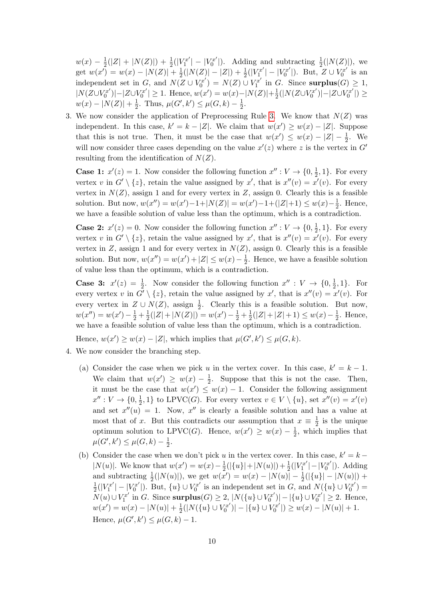$w(x) - \frac{1}{2}$  $\frac{1}{2}(|Z|+|N(Z)|)+\frac{1}{2}(|V_1^{x'}|)$  $|V_1^{x'}| - |V_0^{x'}|$  $\binom{Z}{0}$ . Adding and subtracting  $\frac{1}{2}(|N(Z)|)$ , we get  $w(x') = w(x) - |N(Z)| + \frac{1}{2}$  $\frac{1}{2}(|N(Z)|-|Z|)+\frac{1}{2}(|V_1^{x'}|)$  $|Y_1^{x'}| - |V_0^{x'}|$  $U_0^{rx'}|$ ). But,  $Z \cup V_0^{x'}$  $\int_0^{rx'}$  is an independent set in G, and  $N(Z \cup V_0^{x'}$  $U_0^{x'}$ ) =  $N(Z) \cup V_1^{x'}$  $\int_1^{rT}$  in G. Since surplus $(G) \geq 1$ ,  $|N(Z \cup V_0^{x'}$  $|C_0^{rx'}\rangle| - |Z \cup V_0^{x'}\rangle$  $|U_0^{xx'}| \ge 1$ . Hence,  $w(x') = w(x) - |N(Z)| + \frac{1}{2}$  $\frac{1}{2}(|N(Z \cup V_0^{x'}$  $|C_0^{r x'} )| - |Z \cup V_0^{x'}$  $\binom{x'}{0}$   $\geq$  $w(x) - |N(Z)| + \frac{1}{2}$  $\frac{1}{2}$ . Thus,  $\mu(G', k') \leq \mu(G, k) - \frac{1}{2}$  $\frac{1}{2}$ .

3. We now consider the application of Preprocessing Rule [3.](#page-6-1) We know that  $N(Z)$  was independent. In this case,  $k' = k - |Z|$ . We claim that  $w(x') \geq w(x) - |Z|$ . Suppose that this is not true. Then, it must be the case that  $w(x') \leq w(x) - |Z| - \frac{1}{2}$ . We will now consider three cases depending on the value  $x'(z)$  where z is the vertex in  $G'$ resulting from the identification of  $N(Z)$ .

**Case 1:**  $x'(z) = 1$ . Now consider the following function  $x'' : V \to \{0, \frac{1}{2}\}$  $\frac{1}{2}$ , 1}. For every vertex v in  $G' \setminus \{z\}$ , retain the value assigned by x', that is  $x''(v) = x'(v)$ . For every vertex in  $N(Z)$ , assign 1 and for every vertex in Z, assign 0. Clearly this is a feasible solution. But now,  $w(x'') = w(x') - 1 + |N(Z)| = w(x') - 1 + (|Z| + 1) \leq w(x) - \frac{1}{2}$  $\frac{1}{2}$ . Hence, we have a feasible solution of value less than the optimum, which is a contradiction.

**Case 2:**  $x'(z) = 0$ . Now consider the following function  $x'' : V \to \{0, \frac{1}{2}\}$  $\frac{1}{2}$ , 1}. For every vertex v in  $G' \setminus \{z\}$ , retain the value assigned by x', that is  $x''(v) = x'(v)$ . For every vertex in  $Z$ , assign 1 and for every vertex in  $N(Z)$ , assign 0. Clearly this is a feasible solution. But now,  $w(x'') = w(x') + |Z| \leq w(x) - \frac{1}{2}$  $\frac{1}{2}$ . Hence, we have a feasible solution of value less than the optimum, which is a contradiction.

**Case 3:**  $x'(z) = \frac{1}{2}$ . Now consider the following function  $x'' : V \to \{0, \frac{1}{2}$  $\frac{1}{2}$ , 1 }. For every vertex v in  $G' \setminus \{z\}$ , retain the value assigned by x', that is  $x''(v) = x'(v)$ . For every vertex in  $Z \cup N(Z)$ , assign  $\frac{1}{2}$ . Clearly this is a feasible solution. But now,  $w(x'') = w(x') - \frac{1}{2} + \frac{1}{2}$  $\frac{1}{2}(|Z|+|N(Z)|) = w(x') - \frac{1}{2} + \frac{1}{2}$  $\frac{1}{2}(|Z|+|Z|+1) \leq w(x) - \frac{1}{2}$  $\frac{1}{2}$ . Hence, we have a feasible solution of value less than the optimum, which is a contradiction.

Hence,  $w(x') \ge w(x) - |Z|$ , which implies that  $\mu(G', k') \le \mu(G, k)$ .

- 4. We now consider the branching step.
	- (a) Consider the case when we pick u in the vertex cover. In this case,  $k' = k 1$ . We claim that  $w(x') \geq w(x) - \frac{1}{2}$  $\frac{1}{2}$ . Suppose that this is not the case. Then, it must be the case that  $w(x') \leq w(x) - 1$ . Consider the following assignment  $x'' : V \to \{0, \frac{1}{2}\}$  $\frac{1}{2}$ , 1} to LPVC(*G*). For every vertex  $v \in V \setminus \{u\}$ , set  $x''(v) = x'(v)$ and set  $x''(u) = 1$ . Now,  $x''$  is clearly a feasible solution and has a value at most that of x. But this contradicts our assumption that  $x \equiv \frac{1}{2}$  $\frac{1}{2}$  is the unique optimum solution to LPVC(G). Hence,  $w(x') \geq w(x) - \frac{1}{2}$  $\frac{1}{2}$ , which implies that  $\mu(G', k') \leq \mu(G, k) - \frac{1}{2}$  $\frac{1}{2}$ .
	- (b) Consider the case when we don't pick u in the vertex cover. In this case,  $k' = k -$ |N(u)|. We know that  $w(x') = w(x) - \frac{1}{2}$  $\frac{1}{2}(|\{u\}|+|N(u)|)+\frac{1}{2}(|V_1^{x'}|)$  $|Y_1^{x'}| - |V_0^{x'}|$  $\binom{7x'}{0}$ . Adding and subtracting  $\frac{1}{2}(|N(u)|)$ , we get  $w(x') = w(x) - |N(u)| - \frac{1}{2}(|\{u\}| - |N(u)|) +$ 1  $\frac{1}{2}(|V_1^{x'}$  $|Y_1^{x'}| - |V_0^{x'}|$  $U_0^{x'}|$ ). But,  $\{u\} \cup V_0^{x'}$  $\overline{C}_0^{x'}$  is an independent set in G, and  $N({u} \cup V_0^{x'}$  $\binom{x'}{0} =$  $\stackrel{-}{N}(u) \cup V^{x'}_1$  $U_1^{x'}$  in G. Since surplus(G)  $\geq 2$ ,  $|N(\lbrace u \rbrace \cup V_0^{x'}]$  $|U_0^{x'}\rangle|=|\{u\}\cup V_0^{x'}\rangle$  $\vert 0^{\tau x'} \vert \geq 2$ . Hence,  $w(x') = w(x) - |N(u)| + \frac{1}{2}$  $\frac{1}{2}(|N(\{u\} \cup V_0^{x'})$  $|V^{x'}_0)|-|\{u\}\cup V^{x'}_0|$  $|U_0^{x'}|$   $\geq w(x) - |N(u)| + 1.$ Hence,  $\mu(G', k') \leq \mu(G, k) - 1$ .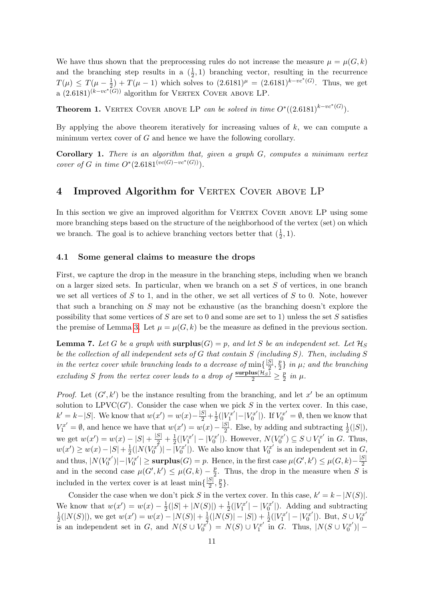We have thus shown that the preprocessing rules do not increase the measure  $\mu = \mu(G, k)$ and the branching step results in a  $(\frac{1}{2}, 1)$  branching vector, resulting in the recurrence  $T(\mu) \leq T(\mu - \frac{1}{2})$  $(\frac{1}{2}) + T(\mu - 1)$  which solves to  $(2.6181)^{\mu} = (2.6181)^{k - vc^{*}(G)}$ . Thus, we get a  $(2.6181)^{(k-vc^*(G))}$  algorithm for VERTEX COVER ABOVE LP.

<span id="page-10-2"></span>**Theorem 1.** VERTEX COVER ABOVE LP can be solved in time  $O^*((2.6181)^{k-vc^*(G)})$ .

By applying the above theorem iteratively for increasing values of  $k$ , we can compute a minimum vertex cover of  $G$  and hence we have the following corollary.

<span id="page-10-3"></span>**Corollary 1.** There is an algorithm that, given a graph  $G$ , computes a minimum vertex cover of G in time  $O^*(2.6181^{(vc(G)-vc^*(G))}).$ 

# <span id="page-10-0"></span>4 Improved Algorithm for VERTEX COVER ABOVE LP

In this section we give an improved algorithm for VERTEX COVER ABOVE LP using some more branching steps based on the structure of the neighborhood of the vertex (set) on which we branch. The goal is to achieve branching vectors better that  $(\frac{1}{2}, 1)$ .

#### 4.1 Some general claims to measure the drops

First, we capture the drop in the measure in the branching steps, including when we branch on a larger sized sets. In particular, when we branch on a set  $S$  of vertices, in one branch we set all vertices of  $S$  to 1, and in the other, we set all vertices of  $S$  to 0. Note, however that such a branching on S may not be exhaustive (as the branching doesn't explore the possibility that some vertices of S are set to 0 and some are set to 1) unless the set S satisfies the premise of Lemma [3.](#page-5-5) Let  $\mu = \mu(G, k)$  be the measure as defined in the previous section.

<span id="page-10-1"></span>**Lemma 7.** Let G be a graph with surplus(G) = p, and let S be an independent set. Let  $\mathcal{H}_S$ be the collection of all independent sets of G that contain S (including S). Then, including S in the vertex cover while branching leads to a decrease of  $\min\{\frac{|S|}{2}\}$  $\frac{S}{2}$ ,  $\frac{p}{2}$  $\frac{p}{2}$ } in  $\mu$ ; and the branching excluding S from the vertex cover leads to a drop of  $\frac{\text{surplus}(\mathcal{H}_S)}{2} \geq \frac{p}{2}$  $rac{p}{2}$  in  $\mu$ .

*Proof.* Let  $(G', k')$  be the instance resulting from the branching, and let  $x'$  be an optimum solution to  $LPVC(G')$ . Consider the case when we pick S in the vertex cover. In this case,  $k' = k - |S|$ . We know that  $w(x') = w(x) - \frac{|S|}{2} + \frac{1}{2}(|V_1^{x'}|)$ 2  $|Y_1^{x'}| - |V_0^{x'}|$  $U_0^{\tau x'}$ . If  $V_0^{x'} = \emptyset$ , then we know that  $V_1^{x'} = \emptyset$ , and hence we have that  $w(x') = w(x) - \frac{|S|}{2}$  $\frac{S}{2}$ . Else, by adding and subtracting  $\frac{1}{2}(|S|)$ , we get  $w(x') = w(x) - |S| + \frac{|S|}{2} + \frac{1}{2}$  $\frac{1}{2}(|V_1^{x'}$  $|Y_1^{x'}| - |V_0^{x'}|$  $U_0^{x'}$ ]). However,  $N(V_0^{x'}$  $\binom{r}{0}^r \subseteq S \cup V_1^{x'}$  $I_1^{x'}$  in G. Thus,  $w(x') \geq w(x) - |S| + \frac{1}{2}$  $\frac{1}{2}(|N(V_0^{x^7}%$  $|\bar{V}^{x^{\tau}}_0\rangle|- \bar{V}^{x^{\prime}}_0$  $V_0^{x'}$ ]). We also know that  $V_0^{x'}$  $C_0^{x'}$  is an independent set in  $G$ , and thus,  $|N(V_0^{x'}$  $|U_0^{x'}\rangle|-|V_0^{x'}\rangle$  $|S_0^{rx'}| \geq \textbf{surplus}(G) = p.$  Hence, in the first case  $\mu(G', k') \leq \mu(G, k) - \frac{|S|}{2}$ and in the second case  $\mu(G', k') \leq \mu(G, k) - \frac{p}{2}$ . Thus, the drop in the measure when S is  $\frac{p}{2}$ . Thus, the drop in the measure when S is included in the vertex cover is at least  $\min\{\frac{|S|}{2}\}$  $\frac{S}{2}$ ,  $\frac{p}{2}$  $\frac{p}{2}\}.$ 

Consider the case when we don't pick S in the vertex cover. In this case,  $k' = k - |N(S)|$ . We know that  $w(x') = w(x) - \frac{1}{2}$  $\frac{1}{2}(|S|+|N(S)|)+\frac{1}{2}(|V_1^{x'}|)$  $|V_1^{x'}| - |V_0^{x'}|$  $\binom{zx'}{0}$ . Adding and subtracting 1  $\frac{1}{2}(|N(S)|)$ , we get  $w(x') = w(x) - |N(S)| + \frac{1}{2}$  $\frac{1}{2}(|N(\bar{S})|-|S|)+\frac{1}{2}(|V^{x'}_1|$  $|Y_1^{x'}| - |V_0^{x'}|$  $|U_0^{x'}|$ . But,  $S \cup V_0^{x'}$ 0 is an independent set in G, and  $N(S \cup V_0^{x})$  $\binom{x^7}{0} = N(S) \cup V_1^{x'}$  $\int_1^{rx'}$  in G. Thus,  $|N(S \cup V_0^{x'})|$  $\binom{x'}{0}$  |  $-$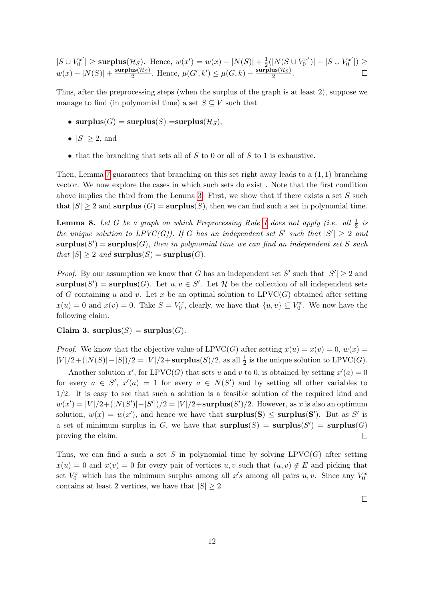$|S \cup V_0^{x'}$  $|U_0^{rx'}|$  ≥ surplus( $\mathcal{H}_S$ ). Hence,  $w(x') = w(x) - |N(S)| + \frac{1}{2}$  $\frac{1}{2}(|N(S \cup V_0^{x'}$  $|S_{0}^{x^{\prime}}|$   $|S \cup V_{0}^{x^{\prime}}|$  $\binom{x^r}{0}$   $\geq$  $w(x) - |N(S)| + \frac{\text{surplus}(\mathcal{H}_S)}{2}$  $\frac{\text{us}(\mathcal{H}_S)}{2}$ . Hence,  $\mu(G', k') \leq \mu(G, k) - \frac{\text{surplus}(\mathcal{H}_S)}{2}$  $rac{\text{us}(H_S)}{2}$ .

Thus, after the preprocessing steps (when the surplus of the graph is at least 2), suppose we manage to find (in polynomial time) a set  $S \subseteq V$  such that

- surplus(G) = surplus(S) = surplus(H<sub>S</sub>),
- $|S| \geq 2$ , and
- that the branching that sets all of  $S$  to 0 or all of  $S$  to 1 is exhaustive.

Then, Lemma [7](#page-10-1) guarantees that branching on this set right away leads to a  $(1, 1)$  branching vector. We now explore the cases in which such sets do exist . Note that the first condition above implies the third from the Lemma [3.](#page-5-5) First, we show that if there exists a set  $S$  such that  $|S| \ge 2$  and surplus  $(G) = \text{surplus}(S)$ , then we can find such a set in polynomial time.

<span id="page-11-0"></span>**Lemma 8.** Let G be a graph on which Preprocessing Rule [1](#page-5-2) does not apply (i.e. all  $\frac{1}{2}$  is the unique solution to  $LPVC(G)$ ). If G has an independent set S' such that  $|S'| \geq 2$  and  ${\bf surplus}(S') = {\bf surplus}(G)$ , then in polynomial time we can find an independent set S such that  $|S| \geq 2$  and  $\text{surplus}(S) = \text{surplus}(G)$ .

*Proof.* By our assumption we know that G has an independent set S' such that  $|S'| \geq 2$  and surplus(S') = surplus(G). Let  $u, v \in S'$ . Let H be the collection of all independent sets of G containing u and v. Let x be an optimal solution to  $LPVC(G)$  obtained after setting  $x(u) = 0$  and  $x(v) = 0$ . Take  $S = V_0^x$ , clearly, we have that  $\{u, v\} \subseteq V_0^x$ . We now have the following claim.

#### Claim 3. surplus(S) = surplus(G).

*Proof.* We know that the objective value of LPVC(G) after setting  $x(u) = x(v) = 0$ ,  $w(x) = 0$  $|V|/2+(|N(S)|-|S|)/2=|V|/2+\text{surplus}(S)/2$ , as all  $\frac{1}{2}$  is the unique solution to LPVC(*G*).

Another solution x', for LPVC(G) that sets u and v to 0, is obtained by setting  $x'(a) = 0$ for every  $a \in S'$ ,  $x'(a) = 1$  for every  $a \in N(S')$  and by setting all other variables to 1/2. It is easy to see that such a solution is a feasible solution of the required kind and  $w(x') = |V|/2 + (|N(S')|-|S'|)/2 = |V|/2 + \text{surplus}(S')/2.$  However, as x is also an optimum solution,  $w(x) = w(x')$ , and hence we have that **surplus(S)**  $\leq$  **surplus(S')**. But as S' is a set of minimum surplus in G, we have that  $\text{surplus}(S) = \text{surplus}(S') = \text{surplus}(G)$ proving the claim.  $\Box$ 

Thus, we can find a such a set S in polynomial time by solving  $LPVC(G)$  after setting  $x(u) = 0$  and  $x(v) = 0$  for every pair of vertices  $u, v$  such that  $(u, v) \notin E$  and picking that set  $V_0^x$  which has the minimum surplus among all  $x's$  among all pairs  $u, v$ . Since any  $V_0^x$ contains at least 2 vertices, we have that  $|S| \geq 2$ .

 $\Box$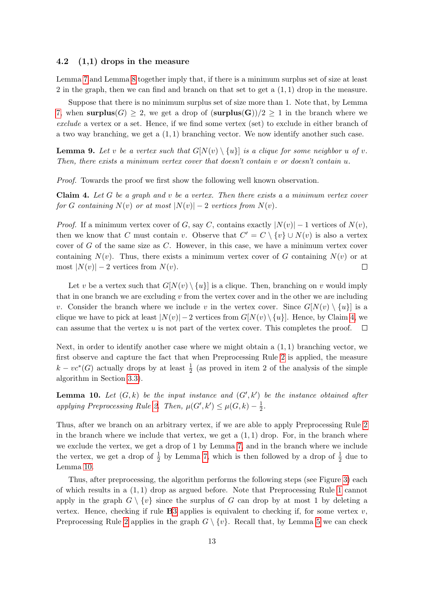#### 4.2 (1,1) drops in the measure

Lemma [7](#page-10-1) and Lemma [8](#page-11-0) together imply that, if there is a minimum surplus set of size at least 2 in the graph, then we can find and branch on that set to get a  $(1, 1)$  drop in the measure.

Suppose that there is no minimum surplus set of size more than 1. Note that, by Lemma [7,](#page-10-1) when surplus(G)  $\geq$  2, we get a drop of (surplus(G))/2  $\geq$  1 in the branch where we exclude a vertex or a set. Hence, if we find some vertex (set) to exclude in either branch of a two way branching, we get a  $(1, 1)$  branching vector. We now identify another such case.

**Lemma 9.** Let v be a vertex such that  $G[N(v) \setminus \{u\}]$  is a clique for some neighbor u of v. Then, there exists a minimum vertex cover that doesn't contain v or doesn't contain u.

Proof. Towards the proof we first show the following well known observation.

<span id="page-12-0"></span>**Claim 4.** Let  $G$  be a graph and  $v$  be a vertex. Then there exists a a minimum vertex cover for G containing  $N(v)$  or at most  $|N(v)| - 2$  vertices from  $N(v)$ .

*Proof.* If a minimum vertex cover of G, say C, contains exactly  $|N(v)| - 1$  vertices of  $N(v)$ , then we know that C must contain v. Observe that  $C' = C \setminus \{v\} \cup N(v)$  is also a vertex cover of  $G$  of the same size as  $C$ . However, in this case, we have a minimum vertex cover containing  $N(v)$ . Thus, there exists a minimum vertex cover of G containing  $N(v)$  or at most  $|N(v)| - 2$  vertices from  $N(v)$ .  $\Box$ 

Let v be a vertex such that  $G[N(v) \setminus \{u\}]$  is a clique. Then, branching on v would imply that in one branch we are excluding  $v$  from the vertex cover and in the other we are including v. Consider the branch where we include v in the vertex cover. Since  $G[N(v) \setminus \{u\}]$  is a clique we have to pick at least  $|N(v)| - 2$  vertices from  $G[N(v) \setminus \{u\}]$ . Hence, by Claim [4,](#page-12-0) we can assume that the vertex  $u$  is not part of the vertex cover. This completes the proof.  $\Box$ 

Next, in order to identify another case where we might obtain a  $(1,1)$  branching vector, we first observe and capture the fact that when Preprocessing Rule [2](#page-6-0) is applied, the measure  $k - \nu c^*(G)$  actually drops by at least  $\frac{1}{2}$  (as proved in item 2 of the analysis of the simple algorithm in Section [3.3\)](#page-8-1).

<span id="page-12-1"></span>**Lemma 10.** Let  $(G, k)$  be the input instance and  $(G', k')$  be the instance obtained after applying Preprocessing Rule [2.](#page-6-0) Then,  $\mu(G', k') \leq \mu(G, k) - \frac{1}{2}$  $\frac{1}{2}$ .

Thus, after we branch on an arbitrary vertex, if we are able to apply Preprocessing Rule [2](#page-6-0) in the branch where we include that vertex, we get a  $(1, 1)$  drop. For, in the branch where we exclude the vertex, we get a drop of 1 by Lemma [7,](#page-10-1) and in the branch where we include the vertex, we get a drop of  $\frac{1}{2}$  by Lemma [7,](#page-10-1) which is then followed by a drop of  $\frac{1}{2}$  due to Lemma [10.](#page-12-1)

Thus, after preprocessing, the algorithm performs the following steps (see Figure [3\)](#page-13-0) each of which results in a (1, 1) drop as argued before. Note that Preprocessing Rule [1](#page-5-2) cannot apply in the graph  $G \setminus \{v\}$  since the surplus of G can drop by at most 1 by deleting a vertex. Hence, checking if rule  $\bf{B}3$  $\bf{B}3$  applies is equivalent to checking if, for some vertex v, Preprocessing Rule [2](#page-6-0) applies in the graph  $G \setminus \{v\}$ . Recall that, by Lemma [5](#page-6-2) we can check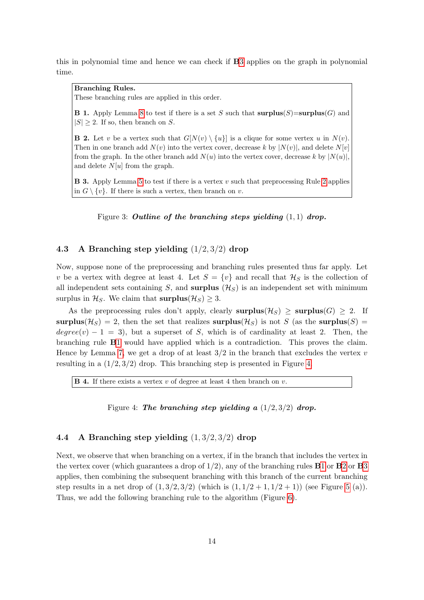this in polynomial time and hence we can check if B[3](#page-13-1) applies on the graph in polynomial time.

### Branching Rules.

These branching rules are applied in this order.

<span id="page-13-2"></span>**B 1.** Apply Lemma [8](#page-11-0) to test if there is a set S such that  $\text{surplus}(S) = \text{surplus}(G)$  and  $|S| \geq 2$ . If so, then branch on S.

<span id="page-13-4"></span>**B 2.** Let v be a vertex such that  $G[N(v) \setminus \{u\}]$  is a clique for some vertex u in  $N(v)$ . Then in one branch add  $N(v)$  into the vertex cover, decrease k by  $|N(v)|$ , and delete  $N[v]$ from the graph. In the other branch add  $N(u)$  into the vertex cover, decrease k by  $|N(u)|$ , and delete  $N[u]$  from the graph.

<span id="page-13-1"></span><span id="page-13-0"></span>**B 3.** Apply Lemma [5](#page-6-2) to test if there is a vertex v such that preprocessing Rule [2](#page-6-0) applies in  $G \setminus \{v\}$ . If there is such a vertex, then branch on v.

Figure 3: Outline of the branching steps yielding  $(1, 1)$  drop.

### 4.3 A Branching step yielding (1/2, 3/2) drop

Now, suppose none of the preprocessing and branching rules presented thus far apply. Let v be a vertex with degree at least 4. Let  $S = \{v\}$  and recall that  $\mathcal{H}_S$  is the collection of all independent sets containing S, and surplus  $(H<sub>S</sub>)$  is an independent set with minimum surplus in  $\mathcal{H}_S$ . We claim that  $\text{surplus}(\mathcal{H}_S) \geq 3$ .

As the preprocessing rules don't apply, clearly surplus( $\mathcal{H}_S$ )  $\geq$  surplus( $G$ )  $\geq$  2. If surplus( $\mathcal{H}_S$ ) = 2, then the set that realizes surplus( $\mathcal{H}_S$ ) is not S (as the surplus(S) =  $degree(v) - 1 = 3$ , but a superset of S, which is of cardinality at least 2. Then, the branching rule B[1](#page-13-2) would have applied which is a contradiction. This proves the claim. Hence by Lemma [7,](#page-10-1) we get a drop of at least  $3/2$  in the branch that excludes the vertex v resulting in a  $(1/2, 3/2)$  drop. This branching step is presented in Figure [4.](#page-13-3)

<span id="page-13-5"></span><span id="page-13-3"></span>**B 4.** If there exists a vertex  $v$  of degree at least 4 then branch on  $v$ .

Figure 4: The branching step yielding a  $(1/2, 3/2)$  drop.

### 4.4 A Branching step yielding (1, 3/2, 3/2) drop

Next, we observe that when branching on a vertex, if in the branch that includes the vertex in the vertex cover (which guarantees a drop of  $1/2$  $1/2$  $1/2$ ), any of the branching rules **B1** or **B2** or **B[3](#page-13-1)** applies, then combining the subsequent branching with this branch of the current branching step results in a net drop of  $(1, 3/2, 3/2)$  (which is  $(1, 1/2 + 1, 1/2 + 1)$ ) (see Figure [5](#page-14-0) (a)). Thus, we add the following branching rule to the algorithm (Figure [6\)](#page-14-1).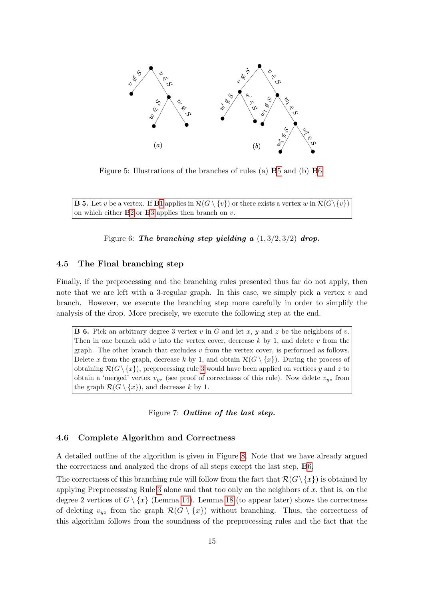<span id="page-14-0"></span>

Figure 5: Illustrations of the branches of rules (a) B[5](#page-14-2) and (b) B[6](#page-14-3)

<span id="page-14-2"></span><span id="page-14-1"></span>**B 5.** Let v be a vertex. If **B**[1](#page-13-2) applies in  $\mathcal{R}(G \setminus \{v\})$  or there exists a vertex w in  $\mathcal{R}(G \setminus \{v\})$ on which either  $B2$  $B2$  or  $B3$  $B3$  applies then branch on  $v$ .

Figure 6: The branching step yielding a  $(1, 3/2, 3/2)$  drop.

#### 4.5 The Final branching step

Finally, if the preprocessing and the branching rules presented thus far do not apply, then note that we are left with a 3-regular graph. In this case, we simply pick a vertex  $v$  and branch. However, we execute the branching step more carefully in order to simplify the analysis of the drop. More precisely, we execute the following step at the end.

<span id="page-14-3"></span>**B 6.** Pick an arbitrary degree 3 vertex v in G and let x, y and z be the neighbors of v. Then in one branch add v into the vertex cover, decrease k by 1, and delete v from the graph. The other branch that excludes  $v$  from the vertex cover, is performed as follows. Delete x from the graph, decrease k by 1, and obtain  $\mathcal{R}(G \setminus \{x\})$ . During the process of obtaining  $\mathcal{R}(G \setminus \{x\})$ , preprocessing rule [3](#page-6-1) would have been applied on vertices y and z to obtain a 'merged' vertex  $v_{yz}$  (see proof of correctness of this rule). Now delete  $v_{yz}$  from the graph  $\mathcal{R}(G \setminus \{x\})$ , and decrease k by 1.

Figure 7: Outline of the last step.

#### 4.6 Complete Algorithm and Correctness

A detailed outline of the algorithm is given in Figure [8.](#page-15-0) Note that we have already argued the correctness and analyzed the drops of all steps except the last step, B[6.](#page-14-3)

The correctness of this branching rule will follow from the fact that  $\mathcal{R}(G\setminus\{x\})$  is obtained by applying Preprocesssing Rule [3](#page-6-1) alone and that too only on the neighbors of x, that is, on the degree 2 vertices of  $G \setminus \{x\}$  (Lemma [14\)](#page-19-0). Lemma [18](#page-24-0) (to appear later) shows the correctness of deleting  $v_{yz}$  from the graph  $\mathcal{R}(G \setminus \{x\})$  without branching. Thus, the correctness of this algorithm follows from the soundness of the preprocessing rules and the fact that the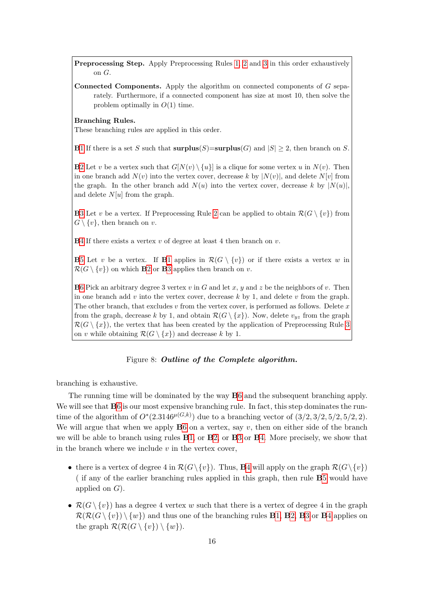Preprocessing Step. Apply Preprocessing Rules [1,](#page-5-2) [2](#page-6-0) and [3](#page-6-1) in this order exhaustively on G.

**Connected Components.** Apply the algorithm on connected components of  $G$  separately. Furthermore, if a connected component has size at most 10, then solve the problem optimally in  $O(1)$  time.

#### Branching Rules.

These branching rules are applied in this order.

B[1](#page-13-2) If there is a set S such that  $\text{surplus}(S)=\text{surplus}(G)$  and  $|S|\geq 2$ , then branch on S.

**B**[2](#page-13-4) Let v be a vertex such that  $G[N(v) \setminus \{u\}]$  is a clique for some vertex u in  $N(v)$ . Then in one branch add  $N(v)$  into the vertex cover, decrease k by  $|N(v)|$ , and delete  $N[v]$  from the graph. In the other branch add  $N(u)$  into the vertex cover, decrease k by  $|N(u)|$ , and delete  $N[u]$  from the graph.

**B**[3](#page-13-1) Let v be a vertex. If Preprocessing Rule [2](#page-6-0) can be applied to obtain  $\mathcal{R}(G \setminus \{v\})$  from  $G \setminus \{v\}$ , then branch on v.

 $\mathbf{B}4$  $\mathbf{B}4$  If there exists a vertex v of degree at least 4 then branch on v.

**B**[5](#page-14-2) Let v be a vertex. If **B**[1](#page-13-2) applies in  $\mathcal{R}(G \setminus \{v\})$  or if there exists a vertex w in  $\mathcal{R}(G \setminus \{v\})$  on which **B**[2](#page-13-4) or **B**[3](#page-13-1) applies then branch on v.

**B**[6](#page-14-3) Pick an arbitrary degree 3 vertex v in G and let x, y and z be the neighbors of v. Then in one branch add  $v$  into the vertex cover, decrease  $k$  by 1, and delete  $v$  from the graph. The other branch, that excludes  $v$  from the vertex cover, is performed as follows. Delete  $x$ from the graph, decrease k by 1, and obtain  $\mathcal{R}(G \setminus \{x\})$ . Now, delete  $v_{yz}$  from the graph  $\mathcal{R}(G \setminus \{x\})$ , the vertex that has been created by the application of Preprocessing Rule [3](#page-6-1) on v while obtaining  $\mathcal{R}(G \setminus \{x\})$  and decrease k by 1.

#### Figure 8: Outline of the Complete algorithm.

<span id="page-15-0"></span>branching is exhaustive.

The running time will be dominated by the way B[6](#page-14-3) and the subsequent branching apply. We will see that  $B6$  $B6$  is our most expensive branching rule. In fact, this step dominates the runtime of the algorithm of  $O^*(2.3146^{\mu(G,k)})$  due to a branching vector of  $(3/2,3/2,5/2,5/2,2)$ . We will argue that when we apply  $B6$  $B6$  on a vertex, say  $v$ , then on either side of the branch we will be able to branch using rules B[1,](#page-13-2) or B[2,](#page-13-4) or B[3](#page-13-1) or B[4.](#page-13-5) More precisely, we show that in the branch where we include  $v$  in the vertex cover,

- there is a vertex of degree [4](#page-13-5) in  $\mathcal{R}(G\setminus\{v\})$ . Thus, **B**4 will apply on the graph  $\mathcal{R}(G\setminus\{v\})$ ( if any of the earlier branching rules applied in this graph, then rule B[5](#page-14-2) would have applied on  $G$ ).
- $\mathcal{R}(G \setminus \{v\})$  has a degree 4 vertex w such that there is a vertex of degree 4 in the graph  $\mathcal{R}(\mathcal{R}(G \setminus \{v\}) \setminus \{w\})$  and thus one of the branching rules **B**[1,](#page-13-2) **B**[2,](#page-13-4) **B**[3](#page-13-1) or **B**[4](#page-13-5) applies on the graph  $\mathcal{R}(\mathcal{R}(G \setminus \{v\}) \setminus \{w\}).$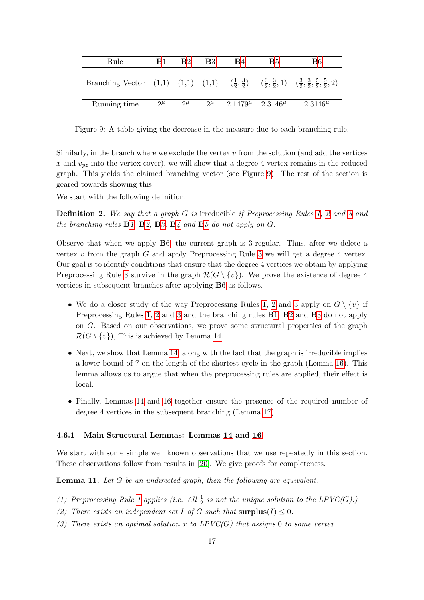| Rule                                                                                                                                                | <b>B</b> 1 | $\mathbf{B}2$ | - B3      | <b>B</b> 4                    | B <sub>5</sub> | B6             |
|-----------------------------------------------------------------------------------------------------------------------------------------------------|------------|---------------|-----------|-------------------------------|----------------|----------------|
| Branching Vector (1,1) (1,1) $(\frac{1}{2}, \frac{3}{2})$ $(\frac{3}{2}, \frac{3}{2}, 1)$ $(\frac{3}{2}, \frac{3}{2}, \frac{5}{2}, \frac{5}{2}, 2)$ |            |               |           |                               |                |                |
| Running time                                                                                                                                        | $2^{\mu}$  | $2^{\mu}$     | $2^{\mu}$ | $2.1479^{\mu}$ $2.3146^{\mu}$ |                | $2.3146^{\mu}$ |

<span id="page-16-0"></span>Figure 9: A table giving the decrease in the measure due to each branching rule.

Similarly, in the branch where we exclude the vertex  $v$  from the solution (and add the vertices x and  $v_{yz}$  into the vertex cover), we will show that a degree 4 vertex remains in the reduced graph. This yields the claimed branching vector (see Figure [9\)](#page-16-0). The rest of the section is geared towards showing this.

We start with the following definition.

**Definition [2](#page-6-0).** We say that a graph G is irreducible if Preprocessing Rules [1,](#page-5-2) 2 and [3](#page-6-1) and the branching rules  $B1, B2, B3, B4$  $B1, B2, B3, B4$  $B1, B2, B3, B4$  $B1, B2, B3, B4$  $B1, B2, B3, B4$  $B1, B2, B3, B4$  $B1, B2, B3, B4$  $B1, B2, B3, B4$  and  $B5$  $B5$  do not apply on  $G$ .

Observe that when we apply B[6,](#page-14-3) the current graph is 3-regular. Thus, after we delete a vertex  $v$  from the graph  $G$  and apply Preprocessing Rule [3](#page-6-1) we will get a degree 4 vertex. Our goal is to identify conditions that ensure that the degree 4 vertices we obtain by applying Preprocessing Rule [3](#page-6-1) survive in the graph  $\mathcal{R}(G \setminus \{v\})$ . We prove the existence of degree 4 vertices in subsequent branches after applying B[6](#page-14-3) as follows.

- We do a closer study of the way Preprocessing Rules [1,](#page-5-2) [2](#page-6-0) and [3](#page-6-1) apply on  $G \setminus \{v\}$  if Preprocessing Rules [1,](#page-5-2) [2](#page-6-0) and [3](#page-6-1) and the branching rules B[1,](#page-13-2) B[2](#page-13-4) and B[3](#page-13-1) do not apply on G. Based on our observations, we prove some structural properties of the graph  $\mathcal{R}(G \setminus \{v\})$ , This is achieved by Lemma [14.](#page-19-0)
- Next, we show that Lemma [14,](#page-19-0) along with the fact that the graph is irreducible implies a lower bound of 7 on the length of the shortest cycle in the graph (Lemma [16\)](#page-21-0). This lemma allows us to argue that when the preprocessing rules are applied, their effect is local.
- Finally, Lemmas [14](#page-19-0) and [16](#page-21-0) together ensure the presence of the required number of degree 4 vertices in the subsequent branching (Lemma [17\)](#page-23-0).

#### 4.6.1 Main Structural Lemmas: Lemmas [14](#page-19-0) and [16](#page-21-0)

We start with some simple well known observations that we use repeatedly in this section. These observations follow from results in [\[20\]](#page-34-6). We give proofs for completeness.

<span id="page-16-1"></span>**Lemma 11.** Let  $G$  be an undirected graph, then the following are equivalent.

- (1) Preprocessing Rule [1](#page-5-2) applies (i.e. All  $\frac{1}{2}$  is not the unique solution to the LPVC(G).)
- (2) There exists an independent set I of G such that  $\text{surplus}(I) \leq 0$ .
- (3) There exists an optimal solution x to  $LPVC(G)$  that assigns 0 to some vertex.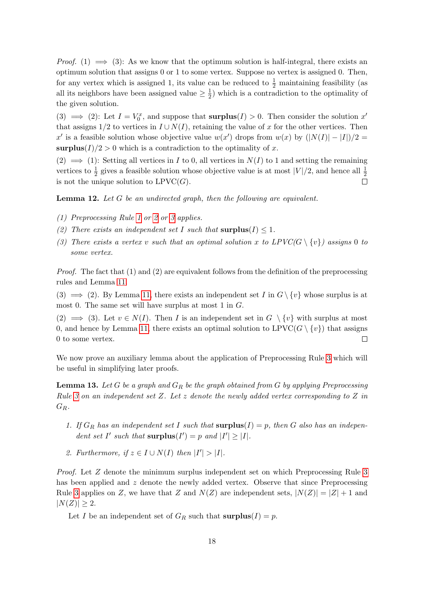*Proof.* (1)  $\implies$  (3): As we know that the optimum solution is half-integral, there exists an optimum solution that assigns 0 or 1 to some vertex. Suppose no vertex is assigned 0. Then, for any vertex which is assigned 1, its value can be reduced to  $\frac{1}{2}$  maintaining feasibility (as all its neighbors have been assigned value  $\geq \frac{1}{2}$  $\frac{1}{2}$ ) which is a contradiction to the optimality of the given solution.

(3)  $\implies$  (2): Let  $I = V_0^x$ , and suppose that **surplus**(*I*) > 0. Then consider the solution x' that assigns  $1/2$  to vertices in  $I \cup N(I)$ , retaining the value of x for the other vertices. Then x' is a feasible solution whose objective value  $w(x')$  drops from  $w(x)$  by  $(|N(I)| - |I|)/2 =$ surplus(I)/2 > 0 which is a contradiction to the optimality of x.

 $(2) \implies (1)$ : Setting all vertices in I to 0, all vertices in  $N(I)$  to 1 and setting the remaining vertices to  $\frac{1}{2}$  gives a feasible solution whose objective value is at most  $|V|/2$ , and hence all  $\frac{1}{2}$ is not the unique solution to  $LPVC(G)$ .  $\Box$ 

<span id="page-17-1"></span>**Lemma 12.** Let G be an undirected graph, then the following are equivalent.

- (1) Preprocessing Rule [1](#page-5-2) or [2](#page-6-0) or [3](#page-6-1) applies.
- (2) There exists an independent set I such that  $\text{surplus}(I) \leq 1$ .
- (3) There exists a vertex v such that an optimal solution x to  $LPVC(G \setminus \{v\})$  assigns 0 to some vertex.

*Proof.* The fact that  $(1)$  and  $(2)$  are equivalent follows from the definition of the preprocessing rules and Lemma [11.](#page-16-1)

(3)  $\implies$  (2). By Lemma [11,](#page-16-1) there exists an independent set I in  $G \setminus \{v\}$  whose surplus is at most 0. The same set will have surplus at most 1 in  $G$ .

 $(2) \implies (3)$ . Let  $v \in N(I)$ . Then I is an independent set in  $G \setminus \{v\}$  with surplus at most 0, and hence by Lemma [11,](#page-16-1) there exists an optimal solution to  $LPVC(G \setminus \{v\})$  that assigns 0 to some vertex.  $\Box$ 

We now prove an auxiliary lemma about the application of Preprocessing Rule [3](#page-6-1) which will be useful in simplifying later proofs.

<span id="page-17-0"></span>**Lemma 13.** Let G be a graph and  $G_R$  be the graph obtained from G by applying Preprocessing Rule [3](#page-6-1) on an independent set Z. Let z denote the newly added vertex corresponding to Z in  $G_R$ .

- 1. If  $G_R$  has an independent set I such that  $\text{surplus}(I) = p$ , then G also has an independent set I' such that  $\text{surplus}(I') = p$  and  $|I'| \geq |I|.$
- 2. Furthermore, if  $z \in I \cup N(I)$  then  $|I'| > |I|$ .

Proof. Let Z denote the minimum surplus independent set on which Preprocessing Rule [3](#page-6-1) has been applied and z denote the newly added vertex. Observe that since Preprocessing Rule [3](#page-6-1) applies on Z, we have that Z and  $N(Z)$  are independent sets,  $|N(Z)| = |Z| + 1$  and  $|N(Z)| \geq 2$ .

Let I be an independent set of  $G_R$  such that  $\text{surplus}(I) = p$ .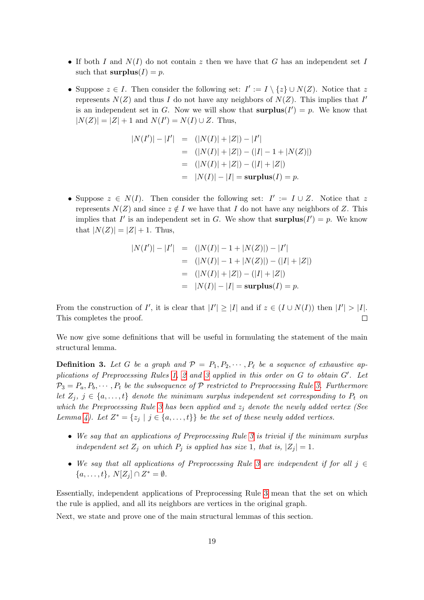- If both I and  $N(I)$  do not contain z then we have that G has an independent set I such that  $\text{surplus}(I) = p$ .
- Suppose  $z \in I$ . Then consider the following set:  $I' := I \setminus \{z\} \cup N(Z)$ . Notice that z represents  $N(Z)$  and thus I do not have any neighbors of  $N(Z)$ . This implies that I' is an independent set in G. Now we will show that  $\text{surplus}(I') = p$ . We know that  $|N(Z)| = |Z| + 1$  and  $N(I') = N(I) \cup Z$ . Thus,

$$
|N(I')| - |I'| = (|N(I)| + |Z|) - |I'|
$$
  
= (|N(I)| + |Z|) - (|I| - 1 + |N(Z)|)  
= (|N(I)| + |Z|) - (|I| + |Z|)  
= |N(I)| - |I| = **surplus**(I) = p.

• Suppose  $z \in N(I)$ . Then consider the following set:  $I' := I \cup Z$ . Notice that z represents  $N(Z)$  and since  $z \notin I$  we have that I do not have any neighbors of Z. This implies that I' is an independent set in G. We show that  $\text{surplus}(I') = p$ . We know that  $|N(Z)| = |Z| + 1$ . Thus,

$$
|N(I')| - |I'| = (|N(I)| - 1 + |N(Z)|) - |I'|
$$
  
= (|N(I)| - 1 + |N(Z)|) - (|I| + |Z|)  
= (|N(I)| + |Z|) - (|I| + |Z|)  
= |N(I)| - |I| = **surplus**(I) = p.

From the construction of I', it is clear that  $|I'| \geq |I|$  and if  $z \in (I \cup N(I))$  then  $|I'| > |I|$ . This completes the proof.  $\Box$ 

We now give some definitions that will be useful in formulating the statement of the main structural lemma.

**Definition 3.** Let G be a graph and  $P = P_1, P_2, \cdots, P_\ell$  be a sequence of exhaustive ap-plications of Preprocessing Rules [1,](#page-5-2) [2](#page-6-0) and [3](#page-6-1) applied in this order on  $G$  to obtain  $G'$ . Let  $\mathcal{P}_3 = P_a, P_b, \cdots, P_t$  be the subsequence of  $\mathcal P$  restricted to Preprocessing Rule [3.](#page-6-1) Furthermore let  $Z_j$ ,  $j \in \{a, \ldots, t\}$  denote the minimum surplus independent set corresponding to  $P_t$  on which the Preprocessing Rule [3](#page-6-1) has been applied and  $z_i$  denote the newly added vertex (See Lemma [4\)](#page-5-4). Let  $Z^* = \{z_j \mid j \in \{a, \ldots, t\}\}\$ be the set of these newly added vertices.

- We say that an applications of Preprocessing Rule [3](#page-6-1) is trivial if the minimum surplus independent set  $Z_j$  on which  $P_j$  is applied has size 1, that is,  $|Z_j| = 1$ .
- We say that all applications of Preprocessing Rule [3](#page-6-1) are independent if for all  $j \in \mathbb{Z}$  $\{a, \ldots, t\}, N[Z_j] \cap Z^* = \emptyset.$

Essentially, independent applications of Preprocessing Rule [3](#page-6-1) mean that the set on which the rule is applied, and all its neighbors are vertices in the original graph.

Next, we state and prove one of the main structural lemmas of this section.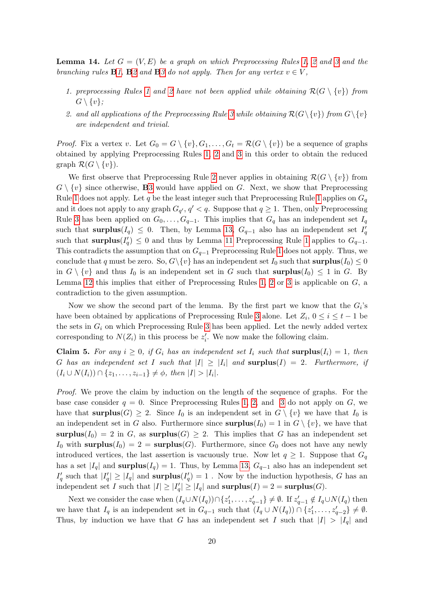<span id="page-19-0"></span>**Lemma 14.** Let  $G = (V, E)$  be a graph on which Preprocessing Rules [1,](#page-5-2) [2](#page-6-0) and [3](#page-6-1) and the branching rules  $\mathbf{B1}, \mathbf{B2}$  $\mathbf{B1}, \mathbf{B2}$  $\mathbf{B1}, \mathbf{B2}$  and  $\mathbf{B3}$  $\mathbf{B3}$  $\mathbf{B3}$  do not apply. Then for any vertex  $v \in V$ ,

- 1. preprocessing Rules [1](#page-5-2) and [2](#page-6-0) have not been applied while obtaining  $\mathcal{R}(G \setminus \{v\})$  from  $G \setminus \{v\};$
- 2. and all applications of the Preprocessing Rule [3](#page-6-1) while obtaining  $\mathcal{R}(G\backslash \{v\})$  from  $G\backslash \{v\}$ are independent and trivial.

*Proof.* Fix a vertex v. Let  $G_0 = G \setminus \{v\}, G_1, \ldots, G_t = \mathcal{R}(G \setminus \{v\})$  be a sequence of graphs obtained by applying Preprocessing Rules [1,](#page-5-2) [2](#page-6-0) and [3](#page-6-1) in this order to obtain the reduced graph  $\mathcal{R}(G \setminus \{v\})$ .

We first observe that Preprocessing Rule [2](#page-6-0) never applies in obtaining  $\mathcal{R}(G \setminus \{v\})$  from  $G \setminus \{v\}$  since otherwise, **B**[3](#page-13-1) would have applied on G. Next, we show that Preprocessing Rule [1](#page-5-2) does not apply. Let q be the least integer such that Preprocessing Rule 1 applies on  $G_q$ and it does not apply to any graph  $G_{q'}$ ,  $q' < q$ . Suppose that  $q \ge 1$ . Then, only Preprocessing Rule [3](#page-6-1) has been applied on  $G_0, \ldots, G_{q-1}$ . This implies that  $G_q$  has an independent set  $I_q$ such that surplus( $I_q$ )  $\leq$  0. Then, by Lemma [13,](#page-17-0)  $G_{q-1}$  also has an independent set  $I'_q$ such that **surplus** $(I'_q) \leq 0$  and thus by Lemma [11](#page-16-1) Preprocessing Rule [1](#page-5-2) applies to  $G_{q-1}$ . This contradicts the assumption that on  $G_{q-1}$  Preprocessing Rule [1](#page-5-2) does not apply. Thus, we conclude that q must be zero. So,  $G\backslash \{v\}$  has an independent set  $I_0$  such that  $\text{surplus}(I_0) \leq 0$ in  $G \setminus \{v\}$  and thus  $I_0$  is an independent set in G such that **surplus** $(I_0) \leq 1$  in G. By Lemma [12](#page-17-1) this implies that either of Preprocessing Rules [1,](#page-5-2) [2](#page-6-0) or [3](#page-6-1) is applicable on  $G$ , a contradiction to the given assumption.

Now we show the second part of the lemma. By the first part we know that the  $G_i$ 's have been obtained by applications of Preprocessing Rule [3](#page-6-1) alone. Let  $Z_i$ ,  $0 \le i \le t-1$  be the sets in  $G_i$  on which Preprocessing Rule [3](#page-6-1) has been applied. Let the newly added vertex corresponding to  $N(Z_i)$  in this process be  $z'_i$ . We now make the following claim.

<span id="page-19-1"></span>**Claim 5.** For any  $i \geq 0$ , if  $G_i$  has an independent set  $I_i$  such that surplus $(I_i) = 1$ , then G has an independent set I such that  $|I| \geq |I_i|$  and  $\textbf{surplus}(I) = 2$ . Furthermore, if  $(I_i \cup N(I_i)) \cap \{z_1, \ldots, z_{i-1}\} \neq \emptyset$ , then  $|I| > |I_i|$ .

Proof. We prove the claim by induction on the length of the sequence of graphs. For the base case consider  $q = 0$ . Since Preprocessing Rules [1,](#page-5-2) [2,](#page-6-0) and [3](#page-6-1) do not apply on G, we have that **surplus** $(G) \geq 2$ . Since  $I_0$  is an independent set in  $G \setminus \{v\}$  we have that  $I_0$  is an independent set in G also. Furthermore since  $\text{surplus}(I_0) = 1$  in  $G \setminus \{v\}$ , we have that surplus( $I_0$ ) = 2 in G, as surplus( $G$ )  $\geq$  2. This implies that G has an independent set  $I_0$  with surplus $(I_0) = 2 = \text{surplus}(G)$ . Furthermore, since  $G_0$  does not have any newly introduced vertices, the last assertion is vacuously true. Now let  $q \geq 1$ . Suppose that  $G_q$ has a set  $|I_q|$  and surplus( $I_q$ ) = 1. Thus, by Lemma [13,](#page-17-0)  $G_{q-1}$  also has an independent set  $I_q'$  such that  $|I_q'|\geq |I_q|$  and **surplus** $(I_q')=1$ . Now by the induction hypothesis, G has an independent set I such that  $|I| \geq |I_q'| \geq |I_q|$  and  $\text{surplus}(I) = 2 = \text{surplus}(G)$ .

Next we consider the case when  $(I_q \cup N(I_q)) \cap \{z'_1, \ldots, z'_{q-1}\} \neq \emptyset$ . If  $z'_{q-1} \notin I_q \cup N(I_q)$  then we have that  $I_q$  is an independent set in  $G_{q-1}$  such that  $(I_q \cup N(I_q)) \cap \{z'_1, \ldots, z'_{q-2}\} \neq \emptyset$ . Thus, by induction we have that G has an independent set I such that  $|I| > |I_q|$  and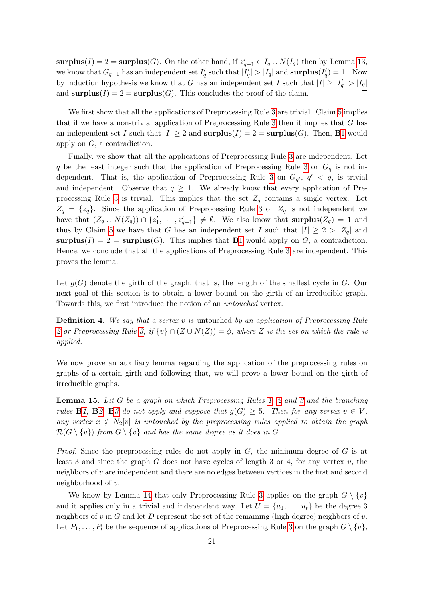surplus(I) = 2 = surplus(G). On the other hand, if  $z'_{q-1} \in I_q \cup N(I_q)$  then by Lemma [13,](#page-17-0) we know that  $G_{q-1}$  has an independent set  $I'_q$  such that  $|I'_q|>|I_q|$  and  $\text{surplus}(I'_q)=1$ . Now by induction hypothesis we know that G has an independent set I such that  $|I| \geq |I_q'| > |I_q|$ and  $\text{surplus}(I) = 2 = \text{surplus}(G)$ . This concludes the proof of the claim.  $\Box$ 

We first show that all the applications of Preprocessing Rule [3](#page-6-1) are trivial. Claim [5](#page-19-1) implies that if we have a non-trivial application of Preprocessing Rule [3](#page-6-1) then it implies that G has an independent set I such that  $|I| \geq 2$  and  $\text{surplus}(I) = 2 = \text{surplus}(G)$ . Then, **B[1](#page-13-2)** would apply on G, a contradiction.

Finally, we show that all the applications of Preprocessing Rule [3](#page-6-1) are independent. Let q be the least integer such that the application of Preprocessing Rule [3](#page-6-1) on  $G_q$  is not in-dependent. That is, the application of Preprocessing Rule [3](#page-6-1) on  $G_{q'}$ ,  $q' < q$ , is trivial and independent. Observe that  $q \geq 1$ . We already know that every application of Pre-processing Rule [3](#page-6-1) is trivial. This implies that the set  $Z_q$  contains a single vertex. Let  $Z_q = \{z_q\}$ . Since the application of Preprocessing Rule [3](#page-6-1) on  $Z_q$  is not independent we have that  $(Z_q \cup N(Z_q)) \cap \{z'_1, \dots, z'_{q-1}\} \neq \emptyset$ . We also know that surplus $(Z_q) = 1$  and thus by Claim [5](#page-19-1) we have that G has an independent set I such that  $|I| \geq 2 > |Z_q|$  and surplus(I) = 2 = surplus(G). This implies that **B**[1](#page-13-2) would apply on G, a contradiction. Hence, we conclude that all the applications of Preprocessing Rule [3](#page-6-1) are independent. This proves the lemma.  $\Box$ 

Let  $g(G)$  denote the girth of the graph, that is, the length of the smallest cycle in G. Our next goal of this section is to obtain a lower bound on the girth of an irreducible graph. Towards this, we first introduce the notion of an untouched vertex.

**Definition 4.** We say that a vertex v is untouched by an application of Preprocessing Rule [2](#page-6-0) or Preprocessing Rule [3,](#page-6-1) if  $\{v\} \cap (Z \cup N(Z)) = \phi$ , where Z is the set on which the rule is applied.

We now prove an auxiliary lemma regarding the application of the preprocessing rules on graphs of a certain girth and following that, we will prove a lower bound on the girth of irreducible graphs.

<span id="page-20-0"></span>**Lemma 15.** Let G be a graph on which Preprocessing Rules [1,](#page-5-2) [2](#page-6-0) and [3](#page-6-1) and the branching rules **B**[1,](#page-13-2) **B**[2,](#page-13-4) **B**[3](#page-13-1) do not apply and suppose that  $g(G) \geq 5$ . Then for any vertex  $v \in V$ , any vertex  $x \notin N_2[v]$  is untouched by the preprocessing rules applied to obtain the graph  $\mathcal{R}(G \setminus \{v\})$  from  $G \setminus \{v\}$  and has the same degree as it does in G.

*Proof.* Since the preprocessing rules do not apply in  $G$ , the minimum degree of  $G$  is at least 3 and since the graph G does not have cycles of length 3 or 4, for any vertex  $v$ , the neighbors of  $v$  are independent and there are no edges between vertices in the first and second neighborhood of v.

We know by Lemma [14](#page-19-0) that only Preprocessing Rule [3](#page-6-1) applies on the graph  $G \setminus \{v\}$ and it applies only in a trivial and independent way. Let  $U = \{u_1, \ldots, u_t\}$  be the degree 3 neighbors of  $v$  in  $G$  and let  $D$  represent the set of the remaining (high degree) neighbors of  $v$ . Let  $P_1, \ldots, P_l$  be the sequence of applications of Preprocessing Rule [3](#page-6-1) on the graph  $G \setminus \{v\}$ ,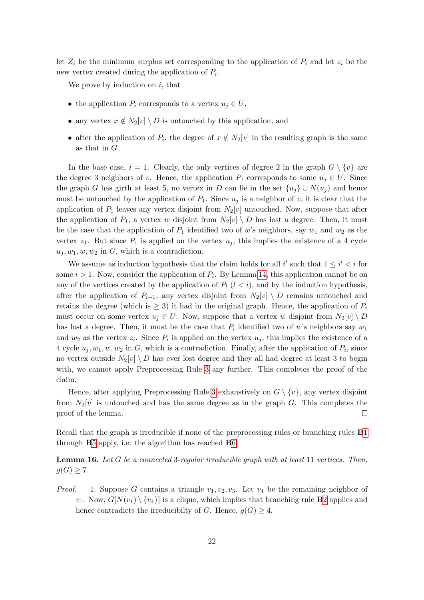let  $Z_i$  be the minimum surplus set corresponding to the application of  $P_i$  and let  $z_i$  be the new vertex created during the application of  $P_i$ .

We prove by induction on  $i$ , that

- the application  $P_i$  corresponds to a vertex  $u_j \in U$ ,
- any vertex  $x \notin N_2[v] \setminus D$  is untouched by this application, and
- after the application of  $P_i$ , the degree of  $x \notin N_2[v]$  in the resulting graph is the same as that in G.

In the base case,  $i = 1$ . Clearly, the only vertices of degree 2 in the graph  $G \setminus \{v\}$  are the degree 3 neighbors of v. Hence, the application  $P_1$  corresponds to some  $u_j \in U$ . Since the graph G has girth at least 5, no vertex in D can lie in the set  $\{u_i\} \cup N(u_i)$  and hence must be untouched by the application of  $P_1$ . Since  $u_j$  is a neighbor of v, it is clear that the application of  $P_1$  leaves any vertex disjoint from  $N_2[v]$  untouched. Now, suppose that after the application of  $P_1$ , a vertex w disjoint from  $N_2[v] \setminus D$  has lost a degree. Then, it must be the case that the application of  $P_1$  identified two of w's neighbors, say  $w_1$  and  $w_2$  as the vertex  $z_1$ . But since  $P_1$  is applied on the vertex  $u_i$ , this implies the existence of a 4 cycle  $u_j, w_1, w, w_2$  in G, which is a contradiction.

We assume as induction hypothesis that the claim holds for all i' such that  $1 \leq i' < i$  for some  $i > 1$ . Now, consider the application of  $P_i$ . By Lemma [14,](#page-19-0) this application cannot be on any of the vertices created by the application of  $P_l$  ( $l < i$ ), and by the induction hypothesis, after the application of  $P_{i-1}$ , any vertex disjoint from  $N_2[v] \setminus D$  remains untouched and retains the degree (which is  $\geq 3$ ) it had in the original graph. Hence, the application of  $P_i$ must occur on some vertex  $u_j \in U$ . Now, suppose that a vertex w disjoint from  $N_2[v] \setminus D$ has lost a degree. Then, it must be the case that  $P_i$  identified two of w's neighbors say  $w_1$ and  $w_2$  as the vertex  $z_i$ . Since  $P_i$  is applied on the vertex  $u_j$ , this implies the existence of a 4 cycle  $u_j, w_1, w, w_2$  in G, which is a contradiction. Finally, after the application of  $P_i$ , since no vertex outside  $N_2[v] \setminus D$  has ever lost degree and they all had degree at least 3 to begin with, we cannot apply Preprocessing Rule [3](#page-6-1) any further. This completes the proof of the claim.

Hence, after applying Preprocessing Rule [3](#page-6-1) exhaustively on  $G \setminus \{v\}$ , any vertex disjoint from  $N_2[v]$  is untouched and has the same degree as in the graph G. This completes the proof of the lemma.  $\Box$ 

Recall that the graph is irreducible if none of the preprocessing rules or branching rules **B**[1](#page-13-2) through B[5](#page-14-2) apply, i.e: the algorithm has reached B[6.](#page-14-3)

<span id="page-21-0"></span>**Lemma 16.** Let G be a connected 3-regular irreducible graph with at least 11 vertices. Then,  $g(G) \geq 7$ .

*Proof.* 1. Suppose G contains a triangle  $v_1, v_2, v_3$ . Let  $v_4$  be the remaining neighbor of  $v_1$ . Now,  $G[N(v_1) \setminus \{v_4\}]$  is a clique, which implies that branching rule **B**[2](#page-13-4) applies and hence contradicts the irreducibilty of G. Hence,  $g(G) \geq 4$ .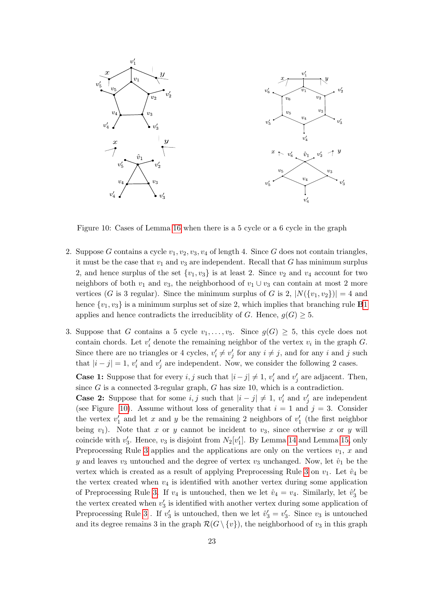

<span id="page-22-0"></span>Figure 10: Cases of Lemma [16](#page-21-0) when there is a 5 cycle or a 6 cycle in the graph

- 2. Suppose G contains a cycle  $v_1, v_2, v_3, v_4$  of length 4. Since G does not contain triangles, it must be the case that  $v_1$  and  $v_3$  are independent. Recall that G has minimum surplus 2, and hence surplus of the set  $\{v_1, v_3\}$  is at least 2. Since  $v_2$  and  $v_4$  account for two neighbors of both  $v_1$  and  $v_3$ , the neighborhood of  $v_1 \cup v_3$  can contain at most 2 more vertices (G is 3 regular). Since the minimum surplus of G is 2,  $|N({v_1, v_2})| = 4$  and hence  $\{v_1, v_3\}$  $\{v_1, v_3\}$  $\{v_1, v_3\}$  is a minimum surplus set of size 2, which implies that branching rule **B**1 applies and hence contradicts the irreduciblity of G. Hence,  $g(G) \geq 5$ .
- 3. Suppose that G contains a 5 cycle  $v_1, \ldots, v_5$ . Since  $g(G) \geq 5$ , this cycle does not contain chords. Let  $v_i'$  denote the remaining neighbor of the vertex  $v_i$  in the graph G. Since there are no triangles or 4 cycles,  $v'_i \neq v'_j$  for any  $i \neq j$ , and for any i and j such that  $|i - j| = 1$ ,  $v'_i$  and  $v'_j$  are independent. Now, we consider the following 2 cases.

**Case 1:** Suppose that for every  $i, j$  such that  $|i - j| \neq 1$ ,  $v'_i$  and  $v'_j$  are adjacent. Then, since  $G$  is a connected 3-regular graph,  $G$  has size 10, which is a contradiction.

**Case 2:** Suppose that for some  $i, j$  such that  $|i - j| \neq 1$ ,  $v'_i$  and  $v'_j$  are independent (see Figure [10\)](#page-22-0). Assume without loss of generality that  $i = 1$  and  $j = 3$ . Consider the vertex  $v'_1$  and let x and y be the remaining 2 neighbors of  $v'_1$  (the first neighbor being  $v_1$ ). Note that x or y cannot be incident to  $v_3$ , since otherwise x or y will coincide with  $v'_3$ . Hence,  $v_3$  is disjoint from  $N_2[v'_1]$ . By Lemma [14](#page-19-0) and Lemma [15,](#page-20-0) only Preprocessing Rule [3](#page-6-1) applies and the applications are only on the vertices  $v_1, x$  and y and leaves  $v_3$  untouched and the degree of vertex  $v_3$  unchanged. Now, let  $\hat{v}_1$  be the vertex which is created as a result of applying Preprocessing Rule [3](#page-6-1) on  $v_1$ . Let  $\hat{v}_4$  be the vertex created when  $v_4$  is identified with another vertex during some application of Preprocessing Rule [3.](#page-6-1) If  $v_4$  is untouched, then we let  $\hat{v}_4 = v_4$ . Similarly, let  $\hat{v}'_3$  be the vertex created when  $v_3$  is identified with another vertex during some application of Preprocessing Rule [3](#page-6-1). If  $v_3'$  is untouched, then we let  $\hat{v}_3' = v_3'$ . Since  $v_3$  is untouched and its degree remains 3 in the graph  $\mathcal{R}(G \setminus \{v\})$ , the neighborhood of  $v_3$  in this graph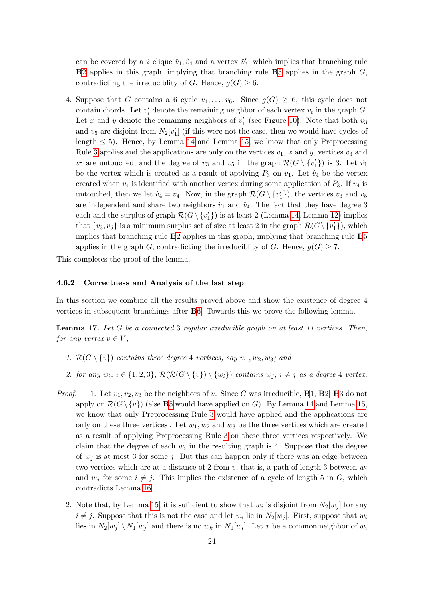can be covered by a 2 clique  $\hat{v}_1, \hat{v}_4$  and a vertex  $\hat{v}'_3$ , which implies that branching rule  $B2$  $B2$  applies in this graph, implying that branching rule  $B5$  $B5$  applies in the graph  $G$ , contradicting the irreduciblity of G. Hence,  $g(G) \geq 6$ .

4. Suppose that G contains a 6 cycle  $v_1, \ldots, v_6$ . Since  $g(G) \geq 6$ , this cycle does not contain chords. Let  $v_i'$  denote the remaining neighbor of each vertex  $v_i$  in the graph  $G$ . Let x and y denote the remaining neighbors of  $v'_1$  (see Figure [10\)](#page-22-0). Note that both  $v_3$ and  $v_5$  are disjoint from  $N_2[v_1']$  (if this were not the case, then we would have cycles of length  $\leq 5$ ). Hence, by Lemma [14](#page-19-0) and Lemma [15,](#page-20-0) we know that only Preprocessing Rule [3](#page-6-1) applies and the applications are only on the vertices  $v_1$ , x and y, vertices  $v_3$  and  $v_5$  are untouched, and the degree of  $v_3$  and  $v_5$  in the graph  $\mathcal{R}(G \setminus \{v_1'\})$  is 3. Let  $\hat{v}_1$ be the vertex which is created as a result of applying  $P_3$  on  $v_1$ . Let  $\hat{v}_4$  be the vertex created when  $v_4$  is identified with another vertex during some application of  $P_3$ . If  $v_4$  is untouched, then we let  $\hat{v}_4 = v_4$ . Now, in the graph  $\mathcal{R}(G \setminus \{v_1'\})$ , the vertices  $v_3$  and  $v_5$ are independent and share two neighbors  $\hat{v}_1$  and  $\hat{v}_4$ . The fact that they have degree 3 each and the surplus of graph  $\mathcal{R}(G \setminus \{v_1'\})$  is at least 2 (Lemma [14,](#page-19-0) Lemma [12\)](#page-17-1) implies that  $\{v_3, v_5\}$  is a minimum surplus set of size at least 2 in the graph  $\mathcal{R}(G \setminus \{v_1'\})$ , which implies that branching rule B[2](#page-13-4) applies in this graph, implying that branching rule B[5](#page-14-2) applies in the graph G, contradicting the irreduciblity of G. Hence,  $g(G) \geq 7$ .

This completes the proof of the lemma.

#### 4.6.2 Correctness and Analysis of the last step

In this section we combine all the results proved above and show the existence of degree 4 vertices in subsequent branchings after B[6.](#page-14-3) Towards this we prove the following lemma.

 $\Box$ 

<span id="page-23-0"></span>**Lemma 17.** Let G be a connected 3 regular irreducible graph on at least 11 vertices. Then, for any vertex  $v \in V$ ,

- 1.  $\mathcal{R}(G \setminus \{v\})$  contains three degree 4 vertices, say  $w_1, w_2, w_3$ ; and
- 2. for any  $w_i$ ,  $i \in \{1,2,3\}$ ,  $\mathcal{R}(\mathcal{R}(G \setminus \{v\}) \setminus \{w_i\})$  contains  $w_j$ ,  $i \neq j$  as a degree 4 vertex.
- *Proof.* 1. Let  $v_1, v_2, v_3$  $v_1, v_2, v_3$  $v_1, v_2, v_3$  $v_1, v_2, v_3$  $v_1, v_2, v_3$  $v_1, v_2, v_3$  be the neighbors of v. Since G was irreducible, **B**1, **B**2, **B**3 do not apply on  $\mathcal{R}(G \setminus \{v\})$  (else **B**[5](#page-14-2) would have applied on G). By Lemma [14](#page-19-0) and Lemma [15,](#page-20-0) we know that only Preprocessing Rule [3](#page-6-1) would have applied and the applications are only on these three vertices. Let  $w_1, w_2$  and  $w_3$  be the three vertices which are created as a result of applying Preprocessing Rule [3](#page-6-1) on these three vertices respectively. We claim that the degree of each  $w_i$  in the resulting graph is 4. Suppose that the degree of  $w_j$  is at most 3 for some j. But this can happen only if there was an edge between two vertices which are at a distance of 2 from  $v$ , that is, a path of length 3 between  $w_i$ and  $w_j$  for some  $i \neq j$ . This implies the existence of a cycle of length 5 in G, which contradicts Lemma [16.](#page-21-0)
	- 2. Note that, by Lemma [15,](#page-20-0) it is sufficient to show that  $w_i$  is disjoint from  $N_2[w_j]$  for any  $i \neq j$ . Suppose that this is not the case and let  $w_i$  lie in  $N_2[w_j]$ . First, suppose that  $w_i$ lies in  $N_2[w_j] \setminus N_1[w_j]$  and there is no  $w_k$  in  $N_1[w_i]$ . Let x be a common neighbor of  $w_i$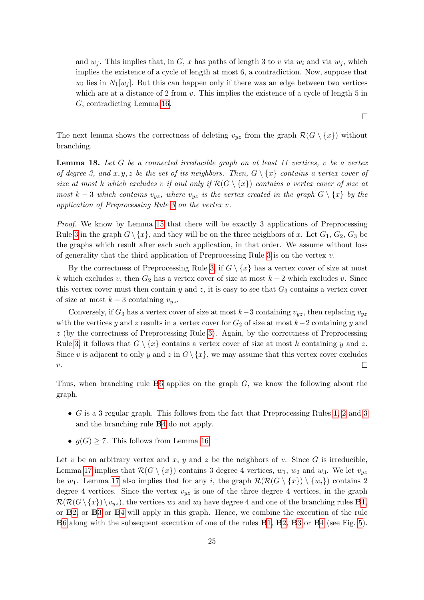and  $w_i$ . This implies that, in G, x has paths of length 3 to v via  $w_i$  and via  $w_j$ , which implies the existence of a cycle of length at most 6, a contradiction. Now, suppose that  $w_i$  lies in  $N_1[w_j]$ . But this can happen only if there was an edge between two vertices which are at a distance of  $2$  from  $v$ . This implies the existence of a cycle of length  $5$  in G, contradicting Lemma [16.](#page-21-0)

The next lemma shows the correctness of deleting  $v_{yz}$  from the graph  $\mathcal{R}(G \setminus \{x\})$  without branching.

<span id="page-24-0"></span>**Lemma 18.** Let G be a connected irreducible graph on at least 11 vertices, v be a vertex of degree 3, and x, y, z be the set of its neighbors. Then,  $G \setminus \{x\}$  contains a vertex cover of size at most k which excludes v if and only if  $\mathcal{R}(G \setminus \{x\})$  contains a vertex cover of size at most k – 3 which contains  $v_{yz}$ , where  $v_{yz}$  is the vertex created in the graph  $G \setminus \{x\}$  by the application of Preprocessing Rule [3](#page-6-1) on the vertex v.

Proof. We know by Lemma [15](#page-20-0) that there will be exactly 3 applications of Preprocessing Rule [3](#page-6-1) in the graph  $G \setminus \{x\}$ , and they will be on the three neighbors of x. Let  $G_1, G_2, G_3$  be the graphs which result after each such application, in that order. We assume without loss of generality that the third application of Preprocessing Rule [3](#page-6-1) is on the vertex  $v$ .

By the correctness of Preprocessing Rule [3,](#page-6-1) if  $G \setminus \{x\}$  has a vertex cover of size at most k which excludes v, then  $G_2$  has a vertex cover of size at most  $k-2$  which excludes v. Since this vertex cover must then contain y and z, it is easy to see that  $G_3$  contains a vertex cover of size at most  $k-3$  containing  $v_{yz}$ .

Conversely, if  $G_3$  has a vertex cover of size at most k-3 containing  $v_{yz}$ , then replacing  $v_{yz}$ with the vertices y and z results in a vertex cover for  $G_2$  of size at most  $k-2$  containing y and z (by the correctness of Preprocessing Rule [3\)](#page-6-1). Again, by the correctness of Preprocessing Rule [3,](#page-6-1) it follows that  $G \setminus \{x\}$  contains a vertex cover of size at most k containing y and z. Since v is adjacent to only y and z in  $G \setminus \{x\}$ , we may assume that this vertex cover excludes  $\upsilon.$  $\Box$ 

Thus, when branching rule  $\bf{B}6$  $\bf{B}6$  applies on the graph  $G$ , we know the following about the graph.

- G is a 3 regular graph. This follows from the fact that Preprocessing Rules [1,](#page-5-2) [2](#page-6-0) and [3](#page-6-1) and the branching rule B[4](#page-13-5) do not apply.
- $g(G) \geq 7$ . This follows from Lemma [16.](#page-21-0)

Let v be an arbitrary vertex and x, y and z be the neighbors of v. Since  $G$  is irreducible, Lemma [17](#page-23-0) implies that  $\mathcal{R}(G \setminus \{x\})$  contains 3 degree 4 vertices,  $w_1, w_2$  and  $w_3$ . We let  $v_{yz}$ be  $w_1$ . Lemma [17](#page-23-0) also implies that for any i, the graph  $\mathcal{R}(\mathcal{R}(G \setminus \{x\}) \setminus \{w_i\})$  contains 2 degree 4 vertices. Since the vertex  $v_{yz}$  is one of the three degree 4 vertices, in the graph  $\mathcal{R}(\mathcal{R}(G \setminus \{x\}) \setminus v_{uz}),$  the vertices  $w_2$  and  $w_3$  have degree 4 and one of the branching rules **B**[1,](#page-13-2) or B[2,](#page-13-4) or B[3](#page-13-1) or B[4](#page-13-5) will apply in this graph. Hence, we combine the execution of the rule B[6](#page-14-3) along with the subsequent execution of one of the rules B[1,](#page-13-2) B[2,](#page-13-4) B[3](#page-13-1) or B[4](#page-13-5) (see Fig. [5\)](#page-14-0).

 $\Box$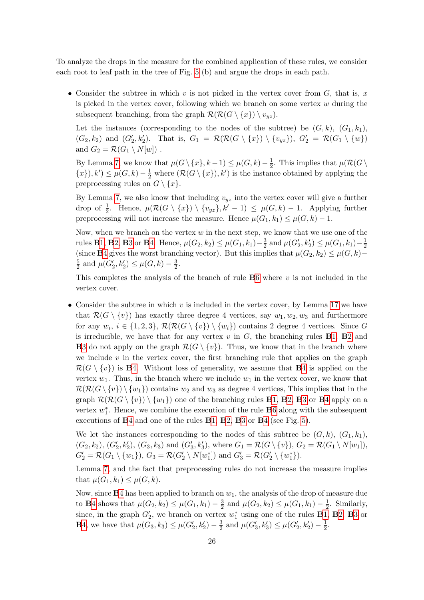To analyze the drops in the measure for the combined application of these rules, we consider each root to leaf path in the tree of Fig. [5](#page-14-0) (b) and argue the drops in each path.

• Consider the subtree in which v is not picked in the vertex cover from  $G$ , that is, x is picked in the vertex cover, following which we branch on some vertex  $w$  during the subsequent branching, from the graph  $\mathcal{R}(\mathcal{R}(G \setminus \{x\}) \setminus v_{uz}).$ 

Let the instances (corresponding to the nodes of the subtree) be  $(G, k)$ ,  $(G_1, k_1)$ ,  $(G_2, k_2)$  and  $(G'_2, k'_2)$ . That is,  $G_1 = \mathcal{R}(\mathcal{R}(G \setminus \{x\}) \setminus \{v_{yz}\})$ ,  $G'_2 = \mathcal{R}(G_1 \setminus \{w\})$ and  $G_2 = \mathcal{R}(G_1 \setminus N[w])$ .

By Lemma [7,](#page-10-1) we know that  $\mu(G \setminus \{x\}, k-1) \leq \mu(G, k) - \frac{1}{2}$  $\frac{1}{2}$ . This implies that  $\mu(\mathcal{R}(G))$  $\{(x\}), k' \leq \mu(G, k) - \frac{1}{2}$  where  $(\mathcal{R}(G \setminus \{x\}), k')$  is the instance obtained by applying the preprocessing rules on  $G \setminus \{x\}.$ 

By Lemma [7,](#page-10-1) we also know that including  $v_{yz}$  into the vertex cover will give a further drop of  $\frac{1}{2}$ . Hence,  $\mu(\mathcal{R}(G \setminus \{x\}) \setminus \{v_{yz}\}, k'-1) \leq \mu(G, k) - 1$ . Applying further preprocessing will not increase the measure. Hence  $\mu(G_1, k_1) \leq \mu(G, k) - 1$ .

Now, when we branch on the vertex  $w$  in the next step, we know that we use one of the rules **B**[1,](#page-13-2) **B**[2,](#page-13-4) **B**[3](#page-13-1) or **B**[4.](#page-13-5) Hence,  $\mu(G_2, k_2) \le \mu(G_1, k_1) - \frac{3}{2}$  $\frac{3}{2}$  and  $\mu(G'_2, k'_2) \leq \mu(G_1, k_1) - \frac{1}{2}$ 2 (since B[4](#page-13-5) gives the worst branching vector). But this implies that  $\mu(G_2, k_2) \leq \mu(G, k)$ – 5  $\frac{5}{2}$  and  $\mu(G'_2, k'_2) \leq \mu(G, k) - \frac{3}{2}$  $\frac{3}{2}$ .

This completes the analysis of the branch of rule  $\bf{B}6$  $\bf{B}6$  where v is not included in the vertex cover.

• Consider the subtree in which  $v$  is included in the vertex cover, by Lemma [17](#page-23-0) we have that  $\mathcal{R}(G \setminus \{v\})$  has exactly three degree 4 vertices, say  $w_1, w_2, w_3$  and furthermore for any  $w_i, i \in \{1, 2, 3\}, \mathcal{R}(\mathcal{R}(G \setminus \{v\}) \setminus \{w_i\})$  contains 2 degree 4 vertices. Since G is irreducible, we have that for any vertex  $v$  in  $G$ , the branching rules  $B1$ ,  $B2$  $B2$  and **B**[3](#page-13-1) do not apply on the graph  $\mathcal{R}(G \setminus \{v\})$ . Thus, we know that in the branch where we include  $v$  in the vertex cover, the first branching rule that applies on the graph  $\mathcal{R}(G \setminus \{v\})$  is **B**[4.](#page-13-5) Without loss of generality, we assume that **B**[4](#page-13-5) is applied on the vertex  $w_1$ . Thus, in the branch where we include  $w_1$  in the vertex cover, we know that  $\mathcal{R}(\mathcal{R}(G \setminus \{v\}) \setminus \{w_1\})$  contains  $w_2$  and  $w_3$  as degree 4 vertices, This implies that in the graph  $\mathcal{R}(\mathcal{R}(G \setminus \{v\}) \setminus \{w_1\})$  one of the branching rules **B**[1,](#page-13-2) **B**[2,](#page-13-4) **B**[3](#page-13-1) or **B**[4](#page-13-5) apply on a vertex  $w_1^*$ . Hence, we combine the execution of the rule **B**[6](#page-14-3) along with the subsequent executions of B[4](#page-13-5) and one of the rules B[1,](#page-13-2) B[2,](#page-13-4) B[3](#page-13-1) or B[4](#page-13-5) (see Fig. [5\)](#page-14-0).

We let the instances corresponding to the nodes of this subtree be  $(G, k), (G_1, k_1)$ ,  $(G_2, k_2), (G'_2, k'_2), (G_3, k_3)$  and  $(G'_3, k'_3)$ , where  $G_1 = \mathcal{R}(G \setminus \{v\}), G_2 = \mathcal{R}(G_1 \setminus N[w_1]),$  $G_2' = \mathcal{R}(G_1 \setminus \{w_1\}), G_3 = \mathcal{R}(G_2' \setminus N[w_1^*])$  and  $G_3' = \mathcal{R}(G_2' \setminus \{w_1^*\}).$ 

Lemma [7,](#page-10-1) and the fact that preprocessing rules do not increase the measure implies that  $\mu(G_1, k_1) \leq \mu(G, k)$ .

Now, since  $\mathbf{B}4$  $\mathbf{B}4$  has been applied to branch on  $w_1$ , the analysis of the drop of measure due to **B**[4](#page-13-5) shows that  $\mu(G_2, k_2) \leq \mu(G_1, k_1) - \frac{3}{2}$  $\frac{3}{2}$  and  $\mu(G_2, k_2) \leq \mu(G_1, k_1) - \frac{1}{2}$  $\frac{1}{2}$ . Similarly, since, in the graph  $G_2'$ , we branch on vertex  $w_1^*$  using one of the rules **B**[1,](#page-13-2) **B**[2,](#page-13-4) **B**[3](#page-13-1) or **B**[4,](#page-13-5) we have that  $\mu(G_3, k_3) \leq \mu(G'_2, k'_2) - \frac{3}{2}$  $\frac{3}{2}$  and  $\mu(G'_3, k'_3) \leq \mu(G'_2, k'_2) - \frac{1}{2}$  $\frac{1}{2}$ .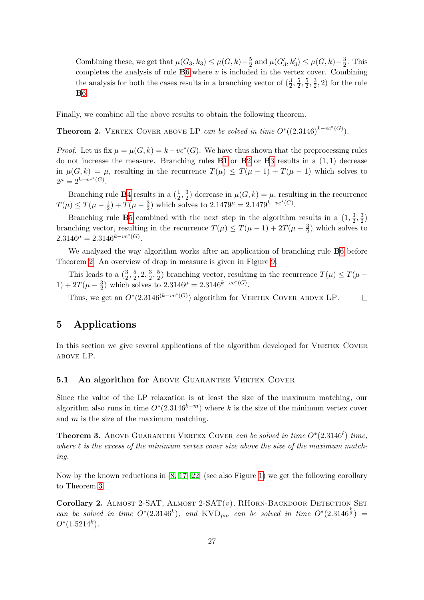Combining these, we get that  $\mu(G_3, k_3) \leq \mu(G, k) - \frac{5}{2}$  $\frac{5}{2}$  and  $\mu(G'_3, k'_3) \leq \mu(G, k) - \frac{3}{2}$  $\frac{3}{2}$ . This completes the analysis of rule  $B6$  $B6$  where  $v$  is included in the vertex cover. Combining the analysis for both the cases results in a branching vector of  $(\frac{3}{2},\frac{5}{2})$  $\frac{5}{2}, \frac{5}{2}$  $\frac{5}{2}, \frac{3}{2}$  $(\frac{3}{2}, 2)$  for the rule B[6.](#page-14-3)

Finally, we combine all the above results to obtain the following theorem.

<span id="page-26-0"></span>**Theorem 2.** VERTEX COVER ABOVE LP can be solved in time  $O^*((2.3146)^{k-vc^*(G)})$ .

*Proof.* Let us fix  $\mu = \mu(G, k) = k - vc^*(G)$ . We have thus shown that the preprocessing rules do not increase the measure. Branching rules  $B1$  $B1$  or  $B2$  $B2$  or  $B3$  $B3$  results in a  $(1,1)$  decrease in  $\mu(G, k) = \mu$ , resulting in the recurrence  $T(\mu) \leq T(\mu - 1) + T(\mu - 1)$  which solves to  $2^{\mu} = 2^{k - vc^*(G)}$ .

Branching rule **B**[4](#page-13-5) results in a  $\left(\frac{1}{2}, \frac{3}{2}\right)$  $\frac{3}{2}$  decrease in  $\mu(G, k) = \mu$ , resulting in the recurrence  $T(\mu) \leq T(\mu - \frac{1}{2})$  $(\frac{1}{2}) + T(\mu - \frac{3}{2})$  $\frac{3}{2}$ ) which solves to  $2.1479^{\mu} = 2.1479^{k - v c^*(G)}$ .

Branching rule **B**[5](#page-14-2) combined with the next step in the algorithm results in a  $(1, \frac{3}{2})$  $\frac{3}{2}, \frac{3}{2}$  $\frac{3}{2}$ branching vector, resulting in the recurrence  $T(\mu) \leq T(\mu - 1) + 2T(\mu - \frac{3}{2})$  $\frac{3}{2}$ ) which solves to  $2.3146^{\mu} = 2.3146^{k-vc^*(G)}$ .

We analyzed the way algorithm works after an application of branching rule B[6](#page-14-3) before Theorem [2.](#page-26-0) An overview of drop in measure is given in Figure [9.](#page-16-0)

This leads to a  $(\frac{3}{2}, \frac{5}{2})$  $\frac{5}{2}, 2, \frac{3}{2}$  $\frac{3}{2}, \frac{5}{2}$  $\frac{5}{2}$ ) branching vector, resulting in the recurrence  $T(\mu) \leq T(\mu - \frac{1}{2})$  $1) + 2T(\mu - \frac{3}{2})$  $\frac{3}{2}$ ) which solves to 2.3146<sup> $\mu$ </sup> = 2.3146<sup> $k-vc*(G)$ </sup>.

Thus, we get an  $O^*(2.3146^{(k-vc^*(G)})$  algorithm for VERTEX COVER ABOVE LP.  $\Box$ 

# 5 Applications

In this section we give several applications of the algorithm developed for VERTEX COVER above LP.

#### 5.1 An algorithm for ABOVE GUARANTEE VERTEX COVER

Since the value of the LP relaxation is at least the size of the maximum matching, our algorithm also runs in time  $O^*(2.3146^{k-m})$  where k is the size of the minimum vertex cover and  $m$  is the size of the maximum matching.

<span id="page-26-1"></span>**Theorem 3.** Above GUARANTEE VERTEX COVER can be solved in time  $O^*(2.3146^\ell)$  time, where  $\ell$  is the excess of the minimum vertex cover size above the size of the maximum matching.

Now by the known reductions in [\[8,](#page-33-4) [17,](#page-34-8) [22\]](#page-34-2) (see also Figure [1\)](#page-2-0) we get the following corollary to Theorem [3.](#page-26-1)

<span id="page-26-2"></span>Corollary 2. ALMOST 2-SAT, ALMOST 2-SAT $(v)$ , RHORN-BACKDOOR DETECTION SET can be solved in time  $O^*(2.3146^k)$ , and KVD<sub>pm</sub> can be solved in time  $O^*(2.3146^{\frac{k}{2}})$  =  $O^*(1.5214^k)$ .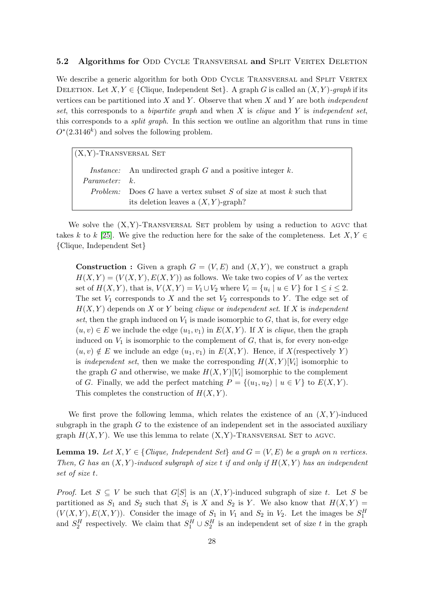#### 5.2 Algorithms for ODD CYCLE TRANSVERSAL and SPLIT VERTEX DELETION

We describe a generic algorithm for both ODD CYCLE TRANSVERSAL and SPLIT VERTEX DELETION. Let  $X, Y \in \{ \text{Clique}, \text{Independent Set} \}$ . A graph G is called an  $(X, Y)$ -graph if its vertices can be partitioned into  $X$  and  $Y$ . Observe that when  $X$  and  $Y$  are both *independent* set, this corresponds to a *bipartite graph* and when X is *clique* and Y is *independent set*, this corresponds to a split graph. In this section we outline an algorithm that runs in time  $O^*(2.3146^k)$  and solves the following problem.

| $(X, Y)$ -TRANSVERSAL SET |                                                                           |  |
|---------------------------|---------------------------------------------------------------------------|--|
|                           | <i>Instance:</i> An undirected graph $G$ and a positive integer $k$ .     |  |
| <i>Parameter:</i> k.      |                                                                           |  |
|                           | <i>Problem:</i> Does G have a vertex subset S of size at most k such that |  |
|                           | its deletion leaves a $(X, Y)$ -graph?                                    |  |

We solve the  $(X, Y)$ -TRANSVERSAL SET problem by using a reduction to AGVC that takes k to k [\[25\]](#page-34-9). We give the reduction here for the sake of the completeness. Let  $X, Y \in$ {Clique, Independent Set}

**Construction :** Given a graph  $G = (V, E)$  and  $(X, Y)$ , we construct a graph  $H(X, Y) = (V(X, Y), E(X, Y))$  as follows. We take two copies of V as the vertex set of  $H(X,Y)$ , that is,  $V(X,Y) = V_1 \cup V_2$  where  $V_i = \{u_i \mid u \in V\}$  for  $1 \le i \le 2$ . The set  $V_1$  corresponds to X and the set  $V_2$  corresponds to Y. The edge set of  $H(X, Y)$  depends on X or Y being clique or independent set. If X is independent set, then the graph induced on  $V_1$  is made isomorphic to  $G$ , that is, for every edge  $(u, v) \in E$  we include the edge  $(u_1, v_1)$  in  $E(X, Y)$ . If X is *clique*, then the graph induced on  $V_1$  is isomorphic to the complement of  $G$ , that is, for every non-edge  $(u, v) \notin E$  we include an edge  $(u_1, v_1)$  in  $E(X, Y)$ . Hence, if X(respectively Y) is *independent set*, then we make the corresponding  $H(X,Y)[V_i]$  isomorphic to the graph G and otherwise, we make  $H(X,Y)[V_i]$  isomorphic to the complement of G. Finally, we add the perfect matching  $P = \{(u_1, u_2) \mid u \in V\}$  to  $E(X, Y)$ . This completes the construction of  $H(X, Y)$ .

We first prove the following lemma, which relates the existence of an  $(X, Y)$ -induced subgraph in the graph  $G$  to the existence of an independent set in the associated auxiliary graph  $H(X, Y)$ . We use this lemma to relate  $(X, Y)$ -TRANSVERSAL SET to AGVC.

<span id="page-27-0"></span>**Lemma 19.** Let  $X, Y \in \{Clique, Independent Set\}$  and  $G = (V, E)$  be a graph on n vertices. Then, G has an  $(X, Y)$ -induced subgraph of size t if and only if  $H(X, Y)$  has an independent set of size t.

*Proof.* Let  $S \subseteq V$  be such that  $G[S]$  is an  $(X, Y)$ -induced subgraph of size t. Let S be partitioned as  $S_1$  and  $S_2$  such that  $S_1$  is X and  $S_2$  is Y. We also know that  $H(X, Y) =$  $(V(X, Y), E(X, Y))$ . Consider the image of  $S_1$  in  $V_1$  and  $S_2$  in  $V_2$ . Let the images be  $S_1^H$ and  $S_2^H$  respectively. We claim that  $S_1^H \cup S_2^H$  is an independent set of size t in the graph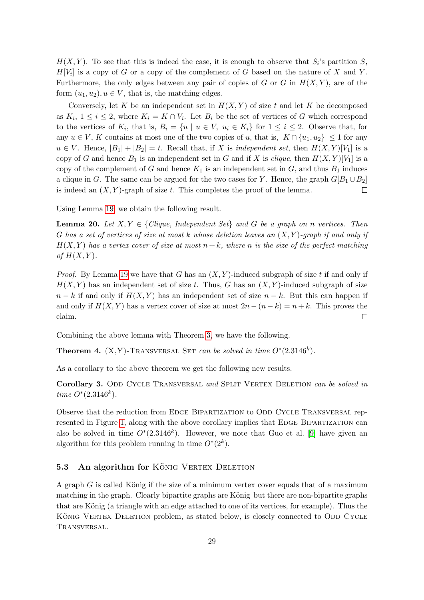$H(X,Y)$ . To see that this is indeed the case, it is enough to observe that  $S_i$ 's partition S,  $H[V_i]$  is a copy of G or a copy of the complement of G based on the nature of X and Y. Furthermore, the only edges between any pair of copies of G or  $\overline{G}$  in  $H(X, Y)$ , are of the form  $(u_1, u_2), u \in V$ , that is, the matching edges.

Conversely, let K be an independent set in  $H(X, Y)$  of size t and let K be decomposed as  $K_i$ ,  $1 \leq i \leq 2$ , where  $K_i = K \cap V_i$ . Let  $B_i$  be the set of vertices of G which correspond to the vertices of  $K_i$ , that is,  $B_i = \{u \mid u \in V, u_i \in K_i\}$  for  $1 \leq i \leq 2$ . Observe that, for any  $u \in V$ , K contains at most one of the two copies of u, that is,  $|K \cap \{u_1, u_2\}| \leq 1$  for any  $u \in V$ . Hence,  $|B_1| + |B_2| = t$ . Recall that, if X is independent set, then  $H(X,Y)[V_1]$  is a copy of G and hence  $B_1$  is an independent set in G and if X is *clique*, then  $H(X,Y)[V_1]$  is a copy of the complement of G and hence  $K_1$  is an independent set in  $\overline{G}$ , and thus  $B_1$  induces a clique in G. The same can be argued for the two cases for Y. Hence, the graph  $G[B_1 \cup B_2]$ is indeed an  $(X, Y)$ -graph of size t. This completes the proof of the lemma.  $\Box$ 

Using Lemma [19,](#page-27-0) we obtain the following result.

**Lemma 20.** Let  $X, Y \in \{Clique, Independent Set\}$  and G be a graph on n vertices. Then G has a set of vertices of size at most k whose deletion leaves an  $(X, Y)$ -graph if and only if  $H(X, Y)$  has a vertex cover of size at most  $n + k$ , where n is the size of the perfect matching of  $H(X, Y)$ .

*Proof.* By Lemma [19](#page-27-0) we have that G has an  $(X, Y)$ -induced subgraph of size t if and only if  $H(X, Y)$  has an independent set of size t. Thus, G has an  $(X, Y)$ -induced subgraph of size  $n - k$  if and only if  $H(X, Y)$  has an independent set of size  $n - k$ . But this can happen if and only if  $H(X, Y)$  has a vertex cover of size at most  $2n - (n - k) = n + k$ . This proves the claim.  $\Box$ 

Combining the above lemma with Theorem [3,](#page-26-1) we have the following.

**Theorem 4.** (X,Y)-TRANSVERSAL SET can be solved in time  $O^*(2.3146^k)$ .

As a corollary to the above theorem we get the following new results.

Corollary 3. ODD CYCLE TRANSVERSAL and SPLIT VERTEX DELETION can be solved in time  $O^*(2.3146^k)$ .

Observe that the reduction from EDGE BIPARTIZATION to ODD CYCLE TRANSVERSAL rep-resented in Figure [1,](#page-2-0) along with the above corollary implies that EDGE BIPARTIZATION can also be solved in time  $O^*(2.3146^k)$ . However, we note that Guo et al. [\[9\]](#page-33-9) have given an algorithm for this problem running in time  $O^*(2^k)$ .

#### 5.3 An algorithm for KÖNIG VERTEX DELETION

A graph  $G$  is called König if the size of a minimum vertex cover equals that of a maximum matching in the graph. Clearly bipartite graphs are König but there are non-bipartite graphs that are König (a triangle with an edge attached to one of its vertices, for example). Thus the KÖNIG VERTEX DELETION problem, as stated below, is closely connected to ODD CYCLE Transversal.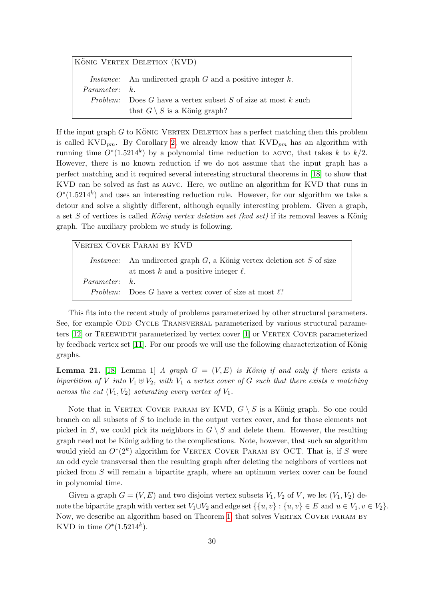KÖNIG VERTEX DELETION (KVD) *Instance:* An undirected graph  $G$  and a positive integer  $k$ . Parameter: Problem: Does G have a vertex subset  $S$  of size at most  $k$  such that  $G \setminus S$  is a König graph?

If the input graph  $G$  to KÖNIG VERTEX DELETION has a perfect matching then this problem is called KVD<sub>pm</sub>. By Corollary [2,](#page-26-2) we already know that  $KVD_{pm}$  has an algorithm with running time  $O^*(1.5214^k)$  by a polynomial time reduction to AGVC, that takes k to  $k/2$ . However, there is no known reduction if we do not assume that the input graph has a perfect matching and it required several interesting structural theorems in [\[18\]](#page-34-3) to show that KVD can be solved as fast as agvc. Here, we outline an algorithm for KVD that runs in  $O<sup>*</sup>(1.5214<sup>k</sup>)$  and uses an interesting reduction rule. However, for our algorithm we take a detour and solve a slightly different, although equally interesting problem. Given a graph, a set S of vertices is called König vertex deletion set (kvd set) if its removal leaves a König graph. The auxiliary problem we study is following.

| VERTEX COVER PARAM BY KVD |                                                                                                                                 |  |
|---------------------------|---------------------------------------------------------------------------------------------------------------------------------|--|
|                           | <i>Instance:</i> An undirected graph $G$ , a König vertex deletion set $S$ of size<br>at most k and a positive integer $\ell$ . |  |
| <i>Parameter:</i> k       | <i>Problem:</i> Does G have a vertex cover of size at most $\ell$ ?                                                             |  |

This fits into the recent study of problems parameterized by other structural parameters. See, for example ODD CYCLE TRANSVERSAL parameterized by various structural parameters  $[12]$  or TREEWIDTH parameterized by vertex cover  $[1]$  or VERTEX COVER parameterized by feedback vertex set  $[11]$ . For our proofs we will use the following characterization of König graphs.

<span id="page-29-0"></span>**Lemma 21.** [\[18,](#page-34-3) Lemma 1] A graph  $G = (V, E)$  is König if and only if there exists a bipartition of V into  $V_1 \oplus V_2$ , with  $V_1$  a vertex cover of G such that there exists a matching across the cut  $(V_1, V_2)$  saturating every vertex of  $V_1$ .

Note that in VERTEX COVER PARAM BY KVD,  $G \setminus S$  is a König graph. So one could branch on all subsets of S to include in the output vertex cover, and for those elements not picked in S, we could pick its neighbors in  $G \setminus S$  and delete them. However, the resulting graph need not be König adding to the complications. Note, however, that such an algorithm would yield an  $O<sup>*</sup>(2<sup>k</sup>)$  algorithm for VERTEX COVER PARAM BY OCT. That is, if S were an odd cycle transversal then the resulting graph after deleting the neighbors of vertices not picked from S will remain a bipartite graph, where an optimum vertex cover can be found in polynomial time.

Given a graph  $G = (V, E)$  and two disjoint vertex subsets  $V_1, V_2$  of V, we let  $(V_1, V_2)$  denote the bipartite graph with vertex set  $V_1 \cup V_2$  and edge set  $\{\{u, v\} : \{u, v\} \in E \text{ and } u \in V_1, v \in V_2\}.$ Now, we describe an algorithm based on Theorem [1,](#page-10-2) that solves VERTEX COVER PARAM BY KVD in time  $O^*(1.5214^k)$ .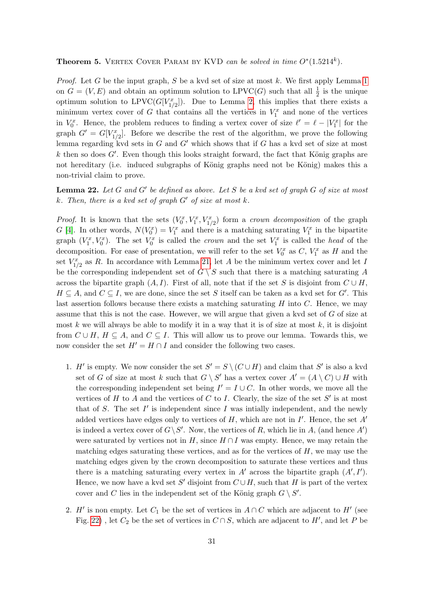# <span id="page-30-1"></span>**Theorem 5.** VERTEX COVER PARAM BY KVD can be solved in time  $O^*(1.5214^k)$ .

*Proof.* Let G be the input graph, S be a kvd set of size at most k. We first apply Lemma [1](#page-5-1) on  $G = (V, E)$  and obtain an optimum solution to LPVC(G) such that all  $\frac{1}{2}$  is the unique optimum solution to LPVC( $G[V_{1/2}^x]$ ). Due to Lemma [2,](#page-5-3) this implies that there exists a minimum vertex cover of G that contains all the vertices in  $V_1^x$  and none of the vertices in  $V_0^x$ . Hence, the problem reduces to finding a vertex cover of size  $\ell' = \ell - |V_1^x|$  for the graph  $G' = G[V_{1/2}^x]$ . Before we describe the rest of the algorithm, we prove the following lemma regarding kvd sets in  $G$  and  $G'$  which shows that if  $G$  has a kvd set of size at most  $k$  then so does  $G'$ . Even though this looks straight forward, the fact that König graphs are not hereditary (i.e. induced subgraphs of König graphs need not be König) makes this a non-trivial claim to prove.

<span id="page-30-0"></span>**Lemma 22.** Let G and G' be defined as above. Let S be a kvd set of graph G of size at most  $k.$  Then, there is a kvd set of graph  $G'$  of size at most  $k.$ 

*Proof.* It is known that the sets  $(V_0^x, V_1^x, V_{1/2}^x)$  form a *crown decomposition* of the graph G [\[4\]](#page-33-13). In other words,  $N(V_0^x) = V_1^x$  and there is a matching saturating  $V_1^x$  in the bipartite graph  $(V_1^x, V_0^x)$ . The set  $V_0^x$  is called the *crown* and the set  $V_1^x$  is called the *head* of the decomposition. For ease of presentation, we will refer to the set  $V_0^x$  as  $C, V_1^x$  as  $H$  and the set  $V_{1/2}^x$  as R. In accordance with Lemma [21,](#page-29-0) let A be the minimum vertex cover and let I be the corresponding independent set of  $G \setminus S$  such that there is a matching saturating A across the bipartite graph  $(A, I)$ . First of all, note that if the set S is disjoint from  $C \cup H$ ,  $H \subseteq A$ , and  $C \subseteq I$ , we are done, since the set S itself can be taken as a kvd set for G'. This last assertion follows because there exists a matching saturating  $H$  into  $C$ . Hence, we may assume that this is not the case. However, we will argue that given a kvd set of G of size at most k we will always be able to modify it in a way that it is of size at most  $k$ , it is disjoint from  $C \cup H$ ,  $H \subseteq A$ , and  $C \subseteq I$ . This will allow us to prove our lemma. Towards this, we now consider the set  $H' = H \cap I$  and consider the following two cases.

- 1. H' is empty. We now consider the set  $S' = S \setminus (C \cup H)$  and claim that S' is also a kvd set of G of size at most k such that  $G \setminus S'$  has a vertex cover  $A' = (A \setminus C) \cup H$  with the corresponding independent set being  $I' = I \cup C$ . In other words, we move all the vertices of H to A and the vertices of C to I. Clearly, the size of the set  $S'$  is at most that of  $S$ . The set  $I'$  is independent since  $I$  was intially independent, and the newly added vertices have edges only to vertices of  $H$ , which are not in  $I'$ . Hence, the set  $A'$ is indeed a vertex cover of  $G\backslash S'$ . Now, the vertices of R, which lie in A, (and hence A') were saturated by vertices not in H, since  $H \cap I$  was empty. Hence, we may retain the matching edges saturating these vertices, and as for the vertices of  $H$ , we may use the matching edges given by the crown decomposition to saturate these vertices and thus there is a matching saturating every vertex in  $A'$  across the bipartite graph  $(A', I')$ . Hence, we now have a kvd set S' disjoint from  $C \cup H$ , such that H is part of the vertex cover and C lies in the independent set of the König graph  $G \setminus S'$ .
- 2. H' is non empty. Let  $C_1$  be the set of vertices in  $A \cap C$  which are adjacent to H' (see Fig. [22\)](#page-30-0), let  $C_2$  be the set of vertices in  $C \cap S$ , which are adjacent to  $H'$ , and let P be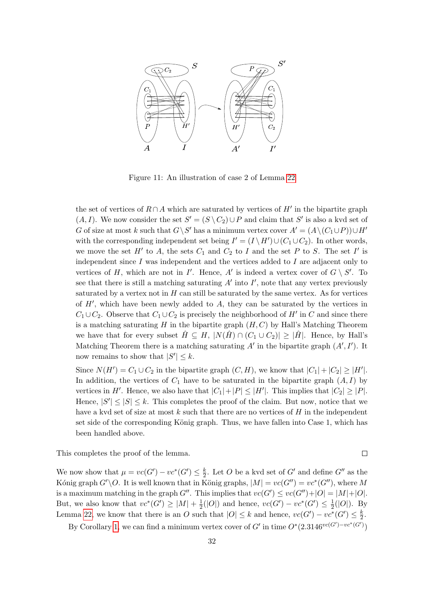

Figure 11: An illustration of case 2 of Lemma [22](#page-30-0)

the set of vertices of  $R \cap A$  which are saturated by vertices of  $H'$  in the bipartite graph  $(A, I)$ . We now consider the set  $S' = (S \setminus C_2) \cup P$  and claim that S' is also a kvd set of G of size at most k such that  $G \backslash S'$  has a minimum vertex cover  $A' = (A \backslash (C_1 \cup P)) \cup H'$ with the corresponding independent set being  $I' = (I \setminus H') \cup (C_1 \cup C_2)$ . In other words, we move the set  $H'$  to A, the sets  $C_1$  and  $C_2$  to I and the set P to S. The set I' is independent since  $I$  was independent and the vertices added to  $I$  are adjacent only to vertices of H, which are not in I'. Hence, A' is indeed a vertex cover of  $G \setminus S'$ . To see that there is still a matching saturating  $A'$  into  $I'$ , note that any vertex previously saturated by a vertex not in  $H$  can still be saturated by the same vertex. As for vertices of  $H'$ , which have been newly added to  $A$ , they can be saturated by the vertices in  $C_1 \cup C_2$ . Observe that  $C_1 \cup C_2$  is precisely the neighborhood of  $H'$  in C and since there is a matching saturating  $H$  in the bipartite graph  $(H, C)$  by Hall's Matching Theorem we have that for every subset  $\hat{H} \subseteq H$ ,  $|N(\hat{H}) \cap (C_1 \cup C_2)| \geq |\hat{H}|$ . Hence, by Hall's Matching Theorem there is a matching saturating  $A'$  in the bipartite graph  $(A', I')$ . It now remains to show that  $|S'| \leq k$ .

Since  $N(H') = C_1 \cup C_2$  in the bipartite graph  $(C, H)$ , we know that  $|C_1| + |C_2| \geq |H'|$ . In addition, the vertices of  $C_1$  have to be saturated in the bipartite graph  $(A, I)$  by vertices in H'. Hence, we also have that  $|C_1|+|P| \leq |H'|$ . This implies that  $|C_2| \geq |P|$ . Hence,  $|S'| \leq |S| \leq k$ . This completes the proof of the claim. But now, notice that we have a kvd set of size at most  $k$  such that there are no vertices of  $H$  in the independent set side of the corresponding König graph. Thus, we have fallen into Case 1, which has been handled above.

This completes the proof of the lemma.

 $\Box$ 

We now show that  $\mu = vc(G') - vc^*(G') \leq \frac{k}{2}$  $\frac{k}{2}$ . Let O be a kvd set of G' and define G'' as the Kónig graph  $G'\backslash O$ . It is well known that in König graphs,  $|M| = vc(G'') = vc^*(G'')$ , where M is a maximum matching in the graph G''. This implies that  $vc(G') \leq vc(G'') + |O| = |M| + |O|$ . But, we also know that  $vc^*(G') \geq |M| + \frac{1}{2}$  $\frac{1}{2}(|O|)$  and hence,  $vc(G') - vc^*(G') \leq \frac{1}{2}$  $\frac{1}{2}(|O|)$ . By Lemma [22,](#page-30-0) we know that there is an O such that  $|O| \leq k$  and hence,  $vc(G') - vc^*(G') \leq \frac{k}{2}$  $\frac{k}{2}$ .

By Corollary [1,](#page-10-3) we can find a minimum vertex cover of G' in time  $O^*(2.3146^{vc(G')-vc^*(G')})$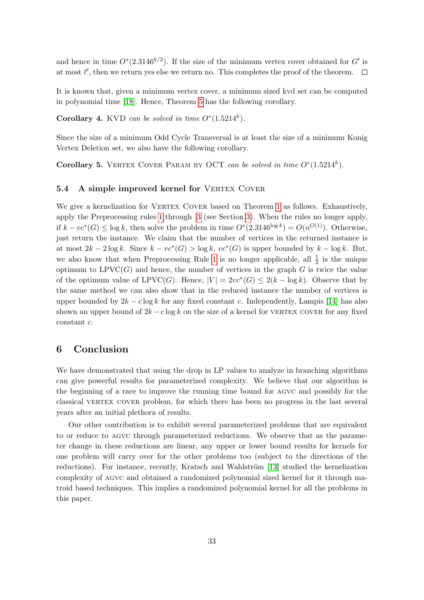and hence in time  $O^*(2.3146^{k/2})$ . If the size of the minimum vertex cover obtained for G' is at most  $\ell'$ , then we return yes else we return no. This completes the proof of the theorem.

It is known that, given a minimum vertex cover, a minimum sized kvd set can be computed in polynomial time [\[18\]](#page-34-3). Hence, Theorem [5](#page-30-1) has the following corollary.

Corollary 4. KVD can be solved in time  $O^*(1.5214^k)$ .

Since the size of a minimum Odd Cycle Transversal is at least the size of a minimum Konig Vertex Deletion set, we also have the following corollary.

Corollary 5. VERTEX COVER PARAM BY OCT can be solved in time  $O^*(1.5214^k)$ .

### 5.4 A simple improved kernel for VERTEX COVER

We give a kernelization for VERTEX COVER based on Theorem [1](#page-10-2) as follows. Exhaustively, apply the Preprocessing rules [1](#page-5-2) through [3](#page-6-1) (see Section [3\)](#page-5-0). When the rules no longer apply, if  $k - vc^*(G)$  ≤ log k, then solve the problem in time  $O^*(2.3146^{\log k}) = O(n^{O(1)})$ . Otherwise, just return the instance. We claim that the number of vertices in the returned instance is at most  $2k - 2\log k$ . Since  $k - \nu c^*(G) > \log k$ ,  $\nu c^*(G)$  is upper bounded by  $k - \log k$ . But, we also know that when Preprocessing Rule [1](#page-5-2) is no longer applicable, all  $\frac{1}{2}$  is the unique optimum to  $LPVC(G)$  and hence, the number of vertices in the graph G is twice the value of the optimum value of LPVC(G). Hence,  $|V| = 2vc^*(G) \leq 2(k - \log k)$ . Observe that by the same method we can also show that in the reduced instance the number of vertices is upper bounded by  $2k - c \log k$  for any fixed constant c. Independently, Lampis [\[14\]](#page-33-8) has also shown an upper bound of  $2k - c \log k$  on the size of a kernel for VERTEX COVER for any fixed constant c.

## 6 Conclusion

We have demonstrated that using the drop in LP values to analyze in branching algorithms can give powerful results for parameterized complexity. We believe that our algorithm is the beginning of a race to improve the running time bound for agvc and possibly for the classical vertex cover problem, for which there has been no progress in the last several years after an initial plethora of results.

Our other contribution is to exhibit several parameterized problems that are equivalent to or reduce to agvc through parameterized reductions. We observe that as the parameter change in these reductions are linear, any upper or lower bound results for kernels for one problem will carry over for the other problems too (subject to the directions of the reductions). For instance, recently, Kratsch and Wahlström [\[13\]](#page-33-14) studied the kernelization complexity of agvc and obtained a randomized polynomial sized kernel for it through matroid based techniques. This implies a randomized polynomial kernel for all the problems in this paper.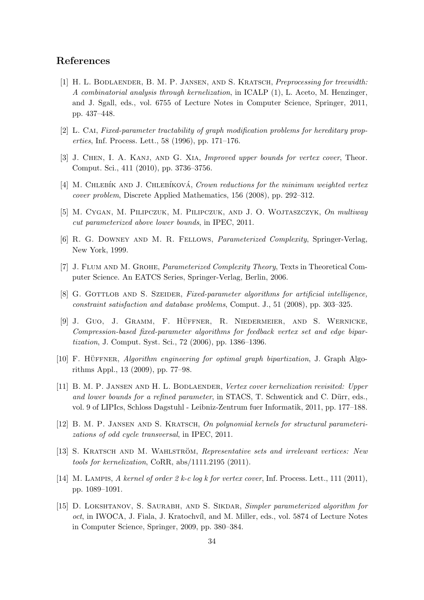# References

- <span id="page-33-11"></span>[1] H. L. Bodlaender, B. M. P. Jansen, and S. Kratsch, Preprocessing for treewidth: A combinatorial analysis through kernelization, in ICALP (1), L. Aceto, M. Henzinger, and J. Sgall, eds., vol. 6755 of Lecture Notes in Computer Science, Springer, 2011, pp. 437–448.
- <span id="page-33-5"></span>[2] L. CAI, Fixed-parameter tractability of graph modification problems for hereditary properties, Inf. Process. Lett., 58 (1996), pp. 171–176.
- <span id="page-33-2"></span>[3] J. Chen, I. A. Kanj, and G. Xia, Improved upper bounds for vertex cover, Theor. Comput. Sci., 411 (2010), pp. 3736–3756.
- <span id="page-33-13"></span>[4] M. CHLEBÍK AND J. CHLEBÍKOVÁ, Crown reductions for the minimum weighted vertex cover problem, Discrete Applied Mathematics, 156 (2008), pp. 292–312.
- <span id="page-33-3"></span>[5] M. Cygan, M. Pilipczuk, M. Pilipczuk, and J. O. Wojtaszczyk, On multiway cut parameterized above lower bounds, in IPEC, 2011.
- <span id="page-33-0"></span>[6] R. G. Downey and M. R. Fellows, Parameterized Complexity, Springer-Verlag, New York, 1999.
- <span id="page-33-1"></span>[7] J. Flum and M. Grohe, Parameterized Complexity Theory, Texts in Theoretical Computer Science. An EATCS Series, Springer-Verlag, Berlin, 2006.
- <span id="page-33-4"></span>[8] G. GOTTLOB AND S. SZEIDER, Fixed-parameter algorithms for artificial intelligence, constraint satisfaction and database problems, Comput. J., 51 (2008), pp. 303–325.
- <span id="page-33-9"></span>[9] J. Guo, J. GRAMM, F. HÜFFNER, R. NIEDERMEIER, AND S. WERNICKE, Compression-based fixed-parameter algorithms for feedback vertex set and edge bipartization, J. Comput. Syst. Sci., 72 (2006), pp. 1386–1396.
- <span id="page-33-6"></span>[10] F. HÜFFNER, Algorithm engineering for optimal graph bipartization, J. Graph Algorithms Appl., 13 (2009), pp. 77–98.
- <span id="page-33-12"></span>[11] B. M. P. Jansen and H. L. Bodlaender, Vertex cover kernelization revisited: Upper and lower bounds for a refined parameter, in STACS, T. Schwentick and C. Dürr, eds., vol. 9 of LIPIcs, Schloss Dagstuhl - Leibniz-Zentrum fuer Informatik, 2011, pp. 177–188.
- <span id="page-33-10"></span>[12] B. M. P. Jansen and S. Kratsch, On polynomial kernels for structural parameterizations of odd cycle transversal, in IPEC, 2011.
- <span id="page-33-14"></span>[13] S. KRATSCH AND M. WAHLSTRÖM, Representative sets and irrelevant vertices: New tools for kernelization, CoRR, abs/1111.2195 (2011).
- <span id="page-33-8"></span>[14] M. LAMPIS, A kernel of order 2 k-c log k for vertex cover, Inf. Process. Lett., 111 (2011), pp. 1089–1091.
- <span id="page-33-7"></span>[15] D. LOKSHTANOV, S. SAURABH, AND S. SIKDAR, Simpler parameterized algorithm for oct, in IWOCA, J. Fiala, J. Kratochvíl, and M. Miller, eds., vol. 5874 of Lecture Notes in Computer Science, Springer, 2009, pp. 380–384.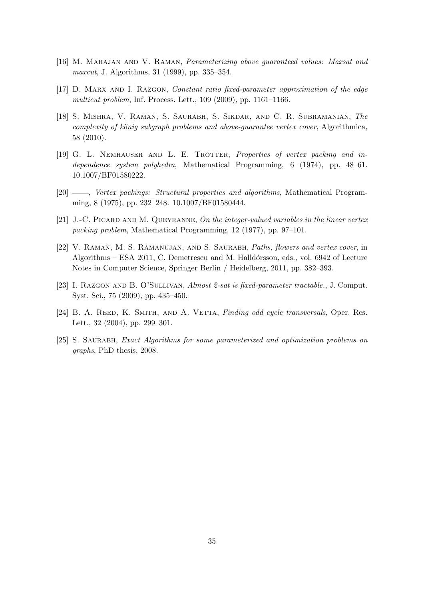- <span id="page-34-0"></span>[16] M. Mahajan and V. Raman, Parameterizing above guaranteed values: Maxsat and maxcut, J. Algorithms, 31 (1999), pp. 335–354.
- <span id="page-34-8"></span>[17] D. Marx and I. Razgon, Constant ratio fixed-parameter approximation of the edge multicut problem, Inf. Process. Lett., 109 (2009), pp. 1161–1166.
- <span id="page-34-3"></span>[18] S. Mishra, V. Raman, S. Saurabh, S. Sikdar, and C. R. Subramanian, The complexity of könig subgraph problems and above-guarantee vertex cover, Algorithmica, 58 (2010).
- <span id="page-34-5"></span>[19] G. L. NEMHAUSER AND L. E. TROTTER, Properties of vertex packing and independence system polyhedra, Mathematical Programming, 6 (1974), pp. 48–61. 10.1007/BF01580222.
- <span id="page-34-6"></span>[20]  $\_\_\_\_\_\_\_\_\_\_\_\.\$  Vertex packings: Structural properties and algorithms, Mathematical Programming, 8 (1975), pp. 232–248. 10.1007/BF01580444.
- <span id="page-34-7"></span> $[21]$  J.-C. PICARD AND M. QUEYRANNE, On the integer-valued variables in the linear vertex packing problem, Mathematical Programming, 12 (1977), pp. 97–101.
- <span id="page-34-2"></span>[22] V. Raman, M. S. Ramanujan, and S. Saurabh, Paths, flowers and vertex cover, in Algorithms – ESA 2011, C. Demetrescu and M. Halldórsson, eds., vol. 6942 of Lecture Notes in Computer Science, Springer Berlin / Heidelberg, 2011, pp. 382–393.
- <span id="page-34-1"></span>[23] I. Razgon and B. O'Sullivan, Almost 2-sat is fixed-parameter tractable., J. Comput. Syst. Sci., 75 (2009), pp. 435–450.
- <span id="page-34-4"></span>[24] B. A. REED, K. SMITH, AND A. VETTA, Finding odd cycle transversals, Oper. Res. Lett., 32 (2004), pp. 299–301.
- <span id="page-34-9"></span>[25] S. Saurabh, Exact Algorithms for some parameterized and optimization problems on graphs, PhD thesis, 2008.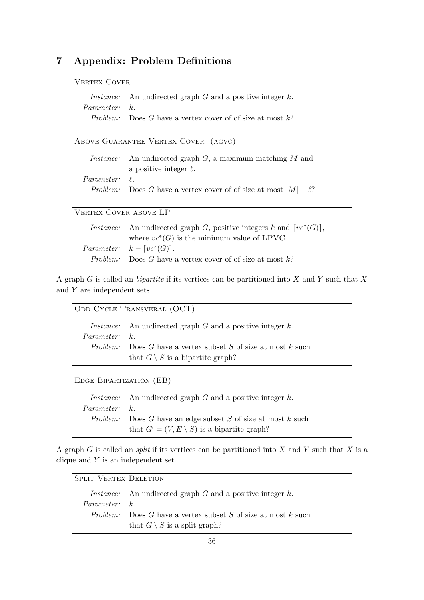# 7 Appendix: Problem Definitions

| VERTEX COVER         |                                                                       |
|----------------------|-----------------------------------------------------------------------|
|                      | <i>Instance:</i> An undirected graph $G$ and a positive integer $k$ . |
| <i>Parameter:</i> k. |                                                                       |
|                      | <i>Problem:</i> Does G have a vertex cover of of size at most $k$ ?   |

ABOVE GUARANTEE VERTEX COVER (AGVC) *Instance:* An undirected graph  $G$ , a maximum matching  $M$  and a positive integer  $\ell$ .  $Parameter: \ell.$ Problem: Does G have a vertex cover of of size at most  $|M| + \ell$ ?

| VERTEX COVER ABOVE LP |                                                                              |  |
|-----------------------|------------------------------------------------------------------------------|--|
|                       | <i>Instance:</i> An undirected graph G, positive integers k and $[vc^*(G)],$ |  |
|                       | where $vc^*(G)$ is the minimum value of LPVC.                                |  |
|                       | <i>Parameter:</i> $k - \lceil vc^*(G) \rceil$ .                              |  |
|                       | <i>Problem:</i> Does G have a vertex cover of of size at most k?             |  |
|                       |                                                                              |  |

A graph  $G$  is called an *bipartite* if its vertices can be partitioned into  $X$  and  $Y$  such that  $X$ and Y are independent sets.

| ODD CYCLE TRANSVERAL (OCT) |                                                                                                                    |  |
|----------------------------|--------------------------------------------------------------------------------------------------------------------|--|
| <i>Parameter:</i> k        | <i>Instance:</i> An undirected graph $G$ and a positive integer $k$ .                                              |  |
|                            | <i>Problem:</i> Does G have a vertex subset S of size at most k such<br>that $G \setminus S$ is a bipartite graph? |  |

Edge Bipartization (EB)

*Instance:* An undirected graph  $G$  and a positive integer  $k$ . Parameter: k. Problem: Does G have an edge subset  $S$  of size at most  $k$  such that  $G' = (V, E \setminus S)$  is a bipartite graph?

A graph G is called an *split* if its vertices can be partitioned into X and Y such that X is a clique and  $Y$  is an independent set.

SPLIT VERTEX DELETION Instance: An undirected graph  $G$  and a positive integer  $k$ . Parameter: k. Problem: Does  $G$  have a vertex subset  $S$  of size at most  $k$  such that  $G \setminus S$  is a split graph?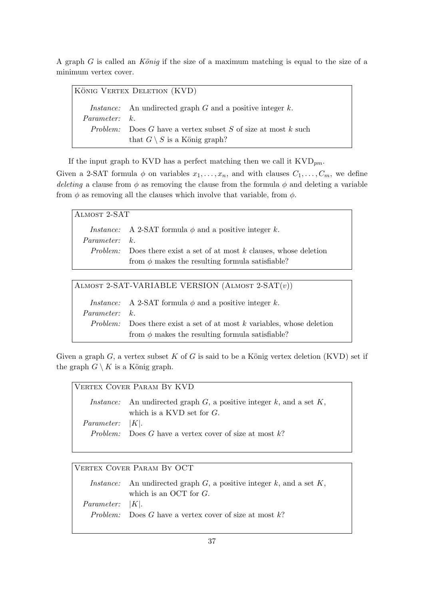A graph  $G$  is called an König if the size of a maximum matching is equal to the size of a minimum vertex cover.

| KÖNIG VERTEX DELETION (KVD) |                                                                       |  |
|-----------------------------|-----------------------------------------------------------------------|--|
|                             | <i>Instance:</i> An undirected graph $G$ and a positive integer $k$ . |  |
| Parameter: k                |                                                                       |  |
|                             | <i>Problem:</i> Does G have a vertex subset S of size at most k such  |  |
|                             | that $G \setminus S$ is a König graph?                                |  |

If the input graph to KVD has a perfect matching then we call it  $KVD_{pm}$ .

Given a 2-SAT formula  $\phi$  on variables  $x_1, \ldots, x_n$ , and with clauses  $C_1, \ldots, C_m$ , we define deleting a clause from  $\phi$  as removing the clause from the formula  $\phi$  and deleting a variable from  $\phi$  as removing all the clauses which involve that variable, from  $\phi$ .

Almost 2-SAT

*Instance:* A 2-SAT formula  $\phi$  and a positive integer k. Parameter: k. Problem: Does there exist a set of at most  $k$  clauses, whose deletion from  $\phi$  makes the resulting formula satisfiable?

ALMOST 2-SAT-VARIABLE VERSION  $(ALMOST 2-SAT(v))$ 

*Instance:* A 2-SAT formula  $\phi$  and a positive integer k. Parameter: k. Problem: Does there exist a set of at most  $k$  variables, whose deletion from  $\phi$  makes the resulting formula satisfiable?

Given a graph  $G$ , a vertex subset  $K$  of  $G$  is said to be a König vertex deletion (KVD) set if the graph  $G \setminus K$  is a König graph.

| VERTEX COVER PARAM BY KVD |                                                                                     |  |
|---------------------------|-------------------------------------------------------------------------------------|--|
|                           | <i>Instance:</i> An undirected graph $G$ , a positive integer $k$ , and a set $K$ , |  |
|                           | which is a KVD set for $G$ .                                                        |  |
| <i>Parameter:</i> $ K $ . |                                                                                     |  |
|                           | <i>Problem:</i> Does G have a vertex cover of size at most $k$ ?                    |  |
|                           |                                                                                     |  |

VERTEX COVER PARAM BY OCT

*Instance:* An undirected graph  $G$ , a positive integer  $k$ , and a set  $K$ , which is an OCT for  $G$ . Parameter: |K|. Problem: Does G have a vertex cover of size at most  $k$ ?